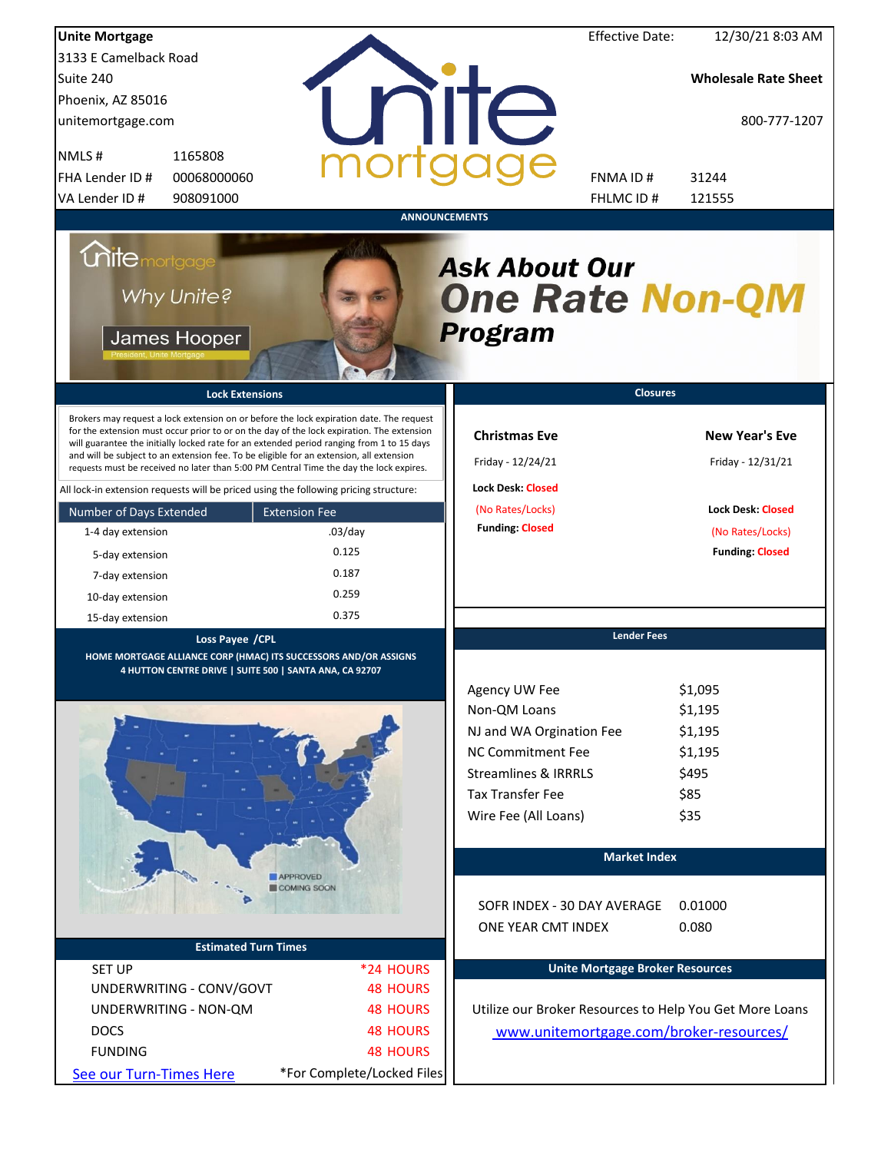| <b>Unite Mortgage</b>                                                                                                                                                                                                                                                                                                                                                                                                                                                                                                                                                                                                                                                                                                                |                                                                              |                                                                                                                                                                                         | <b>Effective Date:</b>                 | 12/30/21 8:03 AM                                                                                                     |
|--------------------------------------------------------------------------------------------------------------------------------------------------------------------------------------------------------------------------------------------------------------------------------------------------------------------------------------------------------------------------------------------------------------------------------------------------------------------------------------------------------------------------------------------------------------------------------------------------------------------------------------------------------------------------------------------------------------------------------------|------------------------------------------------------------------------------|-----------------------------------------------------------------------------------------------------------------------------------------------------------------------------------------|----------------------------------------|----------------------------------------------------------------------------------------------------------------------|
| 3133 E Camelback Road                                                                                                                                                                                                                                                                                                                                                                                                                                                                                                                                                                                                                                                                                                                |                                                                              |                                                                                                                                                                                         |                                        |                                                                                                                      |
| Suite 240                                                                                                                                                                                                                                                                                                                                                                                                                                                                                                                                                                                                                                                                                                                            |                                                                              |                                                                                                                                                                                         |                                        | <b>Wholesale Rate Sheet</b>                                                                                          |
| Phoenix, AZ 85016                                                                                                                                                                                                                                                                                                                                                                                                                                                                                                                                                                                                                                                                                                                    |                                                                              |                                                                                                                                                                                         |                                        |                                                                                                                      |
| unitemortgage.com                                                                                                                                                                                                                                                                                                                                                                                                                                                                                                                                                                                                                                                                                                                    |                                                                              | <b>TITE</b>                                                                                                                                                                             |                                        | 800-777-1207                                                                                                         |
| 1165808<br>NMLS#                                                                                                                                                                                                                                                                                                                                                                                                                                                                                                                                                                                                                                                                                                                     |                                                                              |                                                                                                                                                                                         |                                        |                                                                                                                      |
| FHA Lender ID #<br>00068000060                                                                                                                                                                                                                                                                                                                                                                                                                                                                                                                                                                                                                                                                                                       |                                                                              |                                                                                                                                                                                         | FNMA ID#                               | 31244                                                                                                                |
| VA Lender ID #<br>908091000                                                                                                                                                                                                                                                                                                                                                                                                                                                                                                                                                                                                                                                                                                          |                                                                              |                                                                                                                                                                                         | FHLMC ID #                             | 121555                                                                                                               |
| <b>Unitemortgage</b><br>Why Unite?<br>James Hooper<br><b>Lock Extensions</b><br>Brokers may request a lock extension on or before the lock expiration date. The request<br>for the extension must occur prior to or on the day of the lock expiration. The extension<br>will guarantee the initially locked rate for an extended period ranging from 1 to 15 days<br>and will be subject to an extension fee. To be eligible for an extension, all extension<br>requests must be received no later than 5:00 PM Central Time the day the lock expires.<br>All lock-in extension requests will be priced using the following pricing structure:<br>Number of Days Extended<br>1-4 day extension<br>5-day extension<br>7-day extension | <b>ANNOUNCEMENTS</b><br><b>Extension Fee</b><br>$.03$ /day<br>0.125<br>0.187 | <b>Ask About Our</b><br><b>One Rate Non-QM</b><br><b>Program</b><br><b>Christmas Eve</b><br>Friday - 12/24/21<br><b>Lock Desk: Closed</b><br>(No Rates/Locks)<br><b>Funding: Closed</b> | <b>Closures</b>                        | <b>New Year's Eve</b><br>Friday - 12/31/21<br><b>Lock Desk: Closed</b><br>(No Rates/Locks)<br><b>Funding: Closed</b> |
| 10-day extension                                                                                                                                                                                                                                                                                                                                                                                                                                                                                                                                                                                                                                                                                                                     | 0.259                                                                        |                                                                                                                                                                                         |                                        |                                                                                                                      |
| 15-day extension                                                                                                                                                                                                                                                                                                                                                                                                                                                                                                                                                                                                                                                                                                                     | 0.375                                                                        |                                                                                                                                                                                         |                                        |                                                                                                                      |
| Loss Payee / CPL<br>HOME MORTGAGE ALLIANCE CORP (HMAC) ITS SUCCESSORS AND/OR ASSIGNS                                                                                                                                                                                                                                                                                                                                                                                                                                                                                                                                                                                                                                                 |                                                                              |                                                                                                                                                                                         | <b>Lender Fees</b>                     |                                                                                                                      |
| 4 HUTTON CENTRE DRIVE   SUITE 500   SANTA ANA, CA 92707                                                                                                                                                                                                                                                                                                                                                                                                                                                                                                                                                                                                                                                                              |                                                                              |                                                                                                                                                                                         |                                        |                                                                                                                      |
|                                                                                                                                                                                                                                                                                                                                                                                                                                                                                                                                                                                                                                                                                                                                      |                                                                              | Agency UW Fee                                                                                                                                                                           |                                        | \$1,095                                                                                                              |
|                                                                                                                                                                                                                                                                                                                                                                                                                                                                                                                                                                                                                                                                                                                                      |                                                                              | Non-QM Loans                                                                                                                                                                            |                                        | \$1,195                                                                                                              |
|                                                                                                                                                                                                                                                                                                                                                                                                                                                                                                                                                                                                                                                                                                                                      |                                                                              | NJ and WA Orgination Fee                                                                                                                                                                |                                        | \$1,195                                                                                                              |
|                                                                                                                                                                                                                                                                                                                                                                                                                                                                                                                                                                                                                                                                                                                                      |                                                                              | <b>NC Commitment Fee</b>                                                                                                                                                                |                                        | \$1,195                                                                                                              |
|                                                                                                                                                                                                                                                                                                                                                                                                                                                                                                                                                                                                                                                                                                                                      |                                                                              | <b>Streamlines &amp; IRRRLS</b>                                                                                                                                                         |                                        | \$495                                                                                                                |
|                                                                                                                                                                                                                                                                                                                                                                                                                                                                                                                                                                                                                                                                                                                                      |                                                                              | <b>Tax Transfer Fee</b>                                                                                                                                                                 |                                        | \$85                                                                                                                 |
|                                                                                                                                                                                                                                                                                                                                                                                                                                                                                                                                                                                                                                                                                                                                      |                                                                              | Wire Fee (All Loans)                                                                                                                                                                    |                                        | \$35                                                                                                                 |
|                                                                                                                                                                                                                                                                                                                                                                                                                                                                                                                                                                                                                                                                                                                                      |                                                                              |                                                                                                                                                                                         | <b>Market Index</b>                    |                                                                                                                      |
|                                                                                                                                                                                                                                                                                                                                                                                                                                                                                                                                                                                                                                                                                                                                      | <b>APPROVED</b>                                                              |                                                                                                                                                                                         |                                        |                                                                                                                      |
|                                                                                                                                                                                                                                                                                                                                                                                                                                                                                                                                                                                                                                                                                                                                      | COMING SOON                                                                  | SOFR INDEX - 30 DAY AVERAGE<br>ONE YEAR CMT INDEX                                                                                                                                       |                                        | 0.01000<br>0.080                                                                                                     |
| <b>Estimated Turn Times</b>                                                                                                                                                                                                                                                                                                                                                                                                                                                                                                                                                                                                                                                                                                          |                                                                              |                                                                                                                                                                                         |                                        |                                                                                                                      |
| <b>SET UP</b>                                                                                                                                                                                                                                                                                                                                                                                                                                                                                                                                                                                                                                                                                                                        | *24 HOURS                                                                    |                                                                                                                                                                                         | <b>Unite Mortgage Broker Resources</b> |                                                                                                                      |
| UNDERWRITING - CONV/GOVT                                                                                                                                                                                                                                                                                                                                                                                                                                                                                                                                                                                                                                                                                                             | <b>48 HOURS</b>                                                              |                                                                                                                                                                                         |                                        |                                                                                                                      |
| UNDERWRITING - NON-QM                                                                                                                                                                                                                                                                                                                                                                                                                                                                                                                                                                                                                                                                                                                | <b>48 HOURS</b>                                                              | Utilize our Broker Resources to Help You Get More Loans                                                                                                                                 |                                        |                                                                                                                      |
| <b>DOCS</b>                                                                                                                                                                                                                                                                                                                                                                                                                                                                                                                                                                                                                                                                                                                          | <b>48 HOURS</b>                                                              | www.unitemortgage.com/broker-resources/                                                                                                                                                 |                                        |                                                                                                                      |
| <b>FUNDING</b>                                                                                                                                                                                                                                                                                                                                                                                                                                                                                                                                                                                                                                                                                                                       | <b>48 HOURS</b>                                                              |                                                                                                                                                                                         |                                        |                                                                                                                      |
| See our Turn-Times Here                                                                                                                                                                                                                                                                                                                                                                                                                                                                                                                                                                                                                                                                                                              | *For Complete/Locked Files                                                   |                                                                                                                                                                                         |                                        |                                                                                                                      |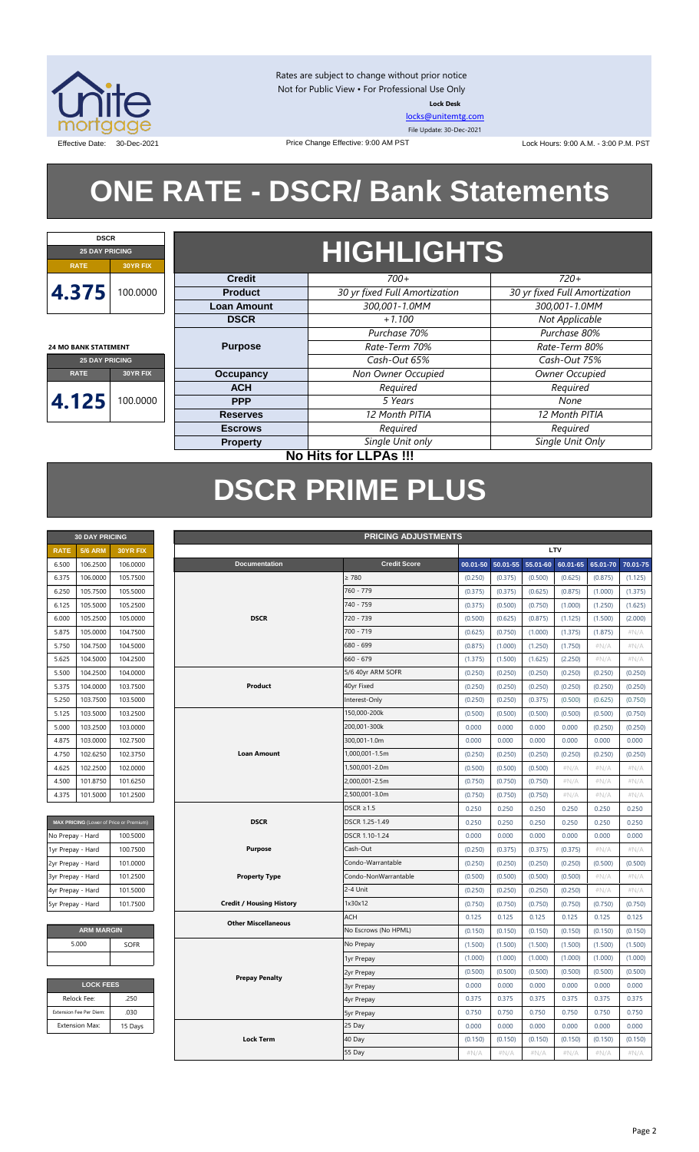

Rates are subject to change without prior notice Not for Public View • For Professional Use Only **Lock Desk**

[locks@unitemtg.com](mailto:locks@unitemtg.com) File Update: 30-Dec-2021

Effective Date: 30-Dec-2021 **Date:** 30-Dec-2021 Price Change Effective: 9:00 AM PST Lock Hours: 9:00 A.M. - 3:00 P.M. PST

# **ONE RATE - DSCR/ Bank Statements**

Price Change Effective: 9:00 AM PST



**24 MO BANK STATEMENT**

## **HIGHLIGHTS**

|                       |          | <b>Credit</b>      | $700+$                        | $720+$                        |
|-----------------------|----------|--------------------|-------------------------------|-------------------------------|
| 4.375                 | 00.0000  | <b>Product</b>     | 30 yr fixed Full Amortization | 30 yr fixed Full Amortization |
|                       |          | <b>Loan Amount</b> | 300,001-1.0MM                 | 300,001-1.0MM                 |
|                       |          | <b>DSCR</b>        | $+1.100$                      | Not Applicable                |
|                       |          |                    | Purchase 70%                  | Purchase 80%                  |
| 4 MO BANK STATEMENT   |          | <b>Purpose</b>     | Rate-Term 70%                 | Rate-Term 80%                 |
| <b>25 DAY PRICING</b> |          |                    | Cash-Out 65%                  | Cash-Out 75%                  |
| <b>RATE</b>           | 30YR FIX | <b>Occupancy</b>   | Non Owner Occupied            | Owner Occupied                |
|                       |          | <b>ACH</b>         | Required                      | Required                      |
| 4.125                 | 00.0000  | <b>PPP</b>         | 5 Years                       | None                          |
|                       |          | <b>Reserves</b>    | 12 Month PITIA                | 12 Month PITIA                |
|                       |          | <b>Escrows</b>     | Required                      | Required                      |
|                       |          | <b>Property</b>    | Single Unit only              | Single Unit Only              |
|                       |          |                    |                               |                               |

**30 DAY PRICING PRICING ADJUSTMENTS**

### **No Hits for LLPAs !!!**

## **DSCR PRIME PLUS**

| <b>30 DAY PRICING</b> |                |          |  |  |  |  |  |  |
|-----------------------|----------------|----------|--|--|--|--|--|--|
| <b>RATF</b>           | <b>5/6 ARM</b> | 30YR FIX |  |  |  |  |  |  |
| 6.500                 | 106.2500       | 106.0000 |  |  |  |  |  |  |
| 6.375                 | 106.0000       | 105.7500 |  |  |  |  |  |  |
| 6.250                 | 105.7500       | 105,5000 |  |  |  |  |  |  |
| 6.125                 | 105.5000       | 105.2500 |  |  |  |  |  |  |
| 6.000                 | 105.2500       | 105.0000 |  |  |  |  |  |  |
| 5875                  | 105.0000       | 104.7500 |  |  |  |  |  |  |
| 5.750                 | 104.7500       | 104.5000 |  |  |  |  |  |  |
| 5.625                 | 104.5000       | 104.2500 |  |  |  |  |  |  |
| 5.500                 | 104.2500       | 104.0000 |  |  |  |  |  |  |
| 5.375                 | 104.0000       | 103.7500 |  |  |  |  |  |  |
| 5.250                 | 103.7500       | 103.5000 |  |  |  |  |  |  |
| 5.125                 | 103.5000       | 103.2500 |  |  |  |  |  |  |
| 5.000                 | 103.2500       | 103.0000 |  |  |  |  |  |  |
| 4.875                 | 103.0000       | 102.7500 |  |  |  |  |  |  |
| 4.750                 | 102.6250       | 102.3750 |  |  |  |  |  |  |
| 4.625                 | 102.2500       | 102.0000 |  |  |  |  |  |  |
| 4.500                 | 101.8750       | 101.6250 |  |  |  |  |  |  |
| 4.375                 | 101.5000       | 101.2500 |  |  |  |  |  |  |

| MAX PRICING (Lower of Price or Premium) |          |
|-----------------------------------------|----------|
| No Prepay - Hard                        | 100,5000 |
| 1yr Prepay - Hard                       | 100.7500 |
| 2yr Prepay - Hard                       | 101.0000 |
| 3yr Prepay - Hard                       | 101.2500 |
| 4yr Prepay - Hard                       | 101.5000 |
| 5yr Prepay - Hard                       | 101.7500 |

| <b>ARM MARGIN</b> |             |  |  |  |  |  |  |  |
|-------------------|-------------|--|--|--|--|--|--|--|
| 5.000             | <b>SOFR</b> |  |  |  |  |  |  |  |
|                   |             |  |  |  |  |  |  |  |

| <b>LOCK FEES</b>        |         |  |  |  |  |  |  |
|-------------------------|---------|--|--|--|--|--|--|
| Relock Fee:             | .250    |  |  |  |  |  |  |
| Extension Fee Per Diem: | .030    |  |  |  |  |  |  |
| <b>Extension Max:</b>   | 15 Days |  |  |  |  |  |  |

| <b>Credit Score</b><br><b>Documentation</b><br>$50.01 - 55$<br>55.01-60<br>60.01-65<br>65.01-70<br>70.01-75<br>6.500<br>106.2500<br>106.0000<br>$00.01 - 50$<br>$\geq 780$<br>106.0000<br>105.7500<br>(0.250)<br>(0.375)<br>(0.500)<br>(0.625)<br>(0.875)<br>6.375<br>(1.125)<br>760 - 779<br>105.7500<br>105.5000<br>(0.375)<br>(0.375)<br>(0.625)<br>(0.875)<br>(1.000)<br>6.250<br>(1.375)<br>105.5000<br>740 - 759<br>6.125<br>105.2500<br>(0.375)<br>(0.500)<br>(0.750)<br>(1.000)<br>(1.250)<br>(1.625)<br><b>DSCR</b><br>720 - 739<br>105.2500<br>105.0000<br>(0.625)<br>6.000<br>(0.500)<br>(0.875)<br>(1.125)<br>(1.500)<br>(2.000)<br>700 - 719<br>104.7500<br>5.875<br>105.0000<br>(0.625)<br>(0.750)<br>(1.000)<br>(1.875)<br>#N/A<br>(1.375)<br>104.7500<br>104.5000<br>680 - 699<br>5.750<br>(0.875)<br>(1.000)<br>(1.250)<br>(1.750)<br>#N/A<br>#N/A<br>660 - 679<br>5.625<br>104.5000<br>104.2500<br>(1.500)<br>(2.250)<br>$\#N/A$<br>$\#N/A$<br>(1.375)<br>(1.625)<br>104.0000<br>5/6 40yr ARM SOFR<br>5.500<br>104.2500<br>(0.250)<br>(0.250)<br>(0.250)<br>(0.250)<br>(0.250)<br>(0.250)<br>104.0000<br>103.7500<br>Product<br>40yr Fixed<br>5.375<br>(0.250)<br>(0.250)<br>(0.250)<br>(0.250)<br>(0.250)<br>(0.250)<br>103.5000<br>Interest-Only<br>5.250<br>103.7500<br>(0.250)<br>(0.250)<br>(0.375)<br>(0.500)<br>(0.625)<br>(0.750)<br>150,000-200k<br>5.125<br>103.5000<br>103.2500<br>(0.500)<br>(0.500)<br>(0.500)<br>(0.500)<br>(0.500)<br>(0.750)<br>103.2500<br>103.0000<br>200,001-300k<br>0.000<br>0.000<br>0.000<br>0.000<br>5.000<br>(0.250)<br>(0.250)<br>300,001-1.0m<br>4.875<br>103.0000<br>102.7500<br>0.000<br>0.000<br>0.000<br>0.000<br>0.000<br>0.000<br>102.6250<br>102.3750<br><b>Loan Amount</b><br>1,000,001-1.5m<br>4.750<br>(0.250)<br>(0.250)<br>(0.250)<br>(0.250)<br>(0.250)<br>(0.250)<br>102.2500<br>102.0000<br>1,500,001-2.0m<br>4.625<br>(0.500)<br>(0.500)<br>(0.500)<br>$\#N/A$<br>$\#N/A$<br>$\#N/A$<br>2,000,001-2.5m<br>4.500<br>101.8750<br>101.6250<br>(0.750)<br>(0.750)<br>(0.750)<br>$\#N/A$<br>$\#N/A$<br>$\#N/A$<br>2,500,001-3.0m<br>4.375<br>101.5000<br>101.2500<br>(0.750)<br>(0.750)<br>(0.750)<br>$\#N/A$<br>$\#N/A$<br>$\#N/A$<br>$DSCR \geq 1.5$<br>0.250<br>0.250<br>0.250<br>0.250<br>0.250<br>0.250<br><b>DSCR</b><br>DSCR 1.25-1.49<br>MAX PRICING (Lower of Price or Premium)<br>0.250<br>0.250<br>0.250<br>0.250<br>0.250<br>0.250<br>DSCR 1.10-1.24<br>0.000<br>0.000<br>0.000<br>0.000<br>0.000<br>0.000<br>No Prepay - Hard<br>100.5000<br>100.7500<br><b>Purpose</b><br>Cash-Out<br>(0.250)<br>(0.375)<br>(0.375)<br>(0.375)<br>$\#N/A$<br>$\#N/A$<br>1yr Prepay - Hard<br>Condo-Warrantable<br>2yr Prepay - Hard<br>101.0000<br>(0.250)<br>(0.250)<br>(0.250)<br>(0.250)<br>(0.500)<br>(0.500)<br><b>Property Type</b><br>Condo-NonWarrantable<br>3yr Prepay - Hard<br>101.2500<br>(0.500)<br>#N/A<br>(0.500)<br>(0.500)<br>(0.500)<br>#N/A<br>2-4 Unit<br>101.5000<br>(0.250)<br>(0.250)<br>(0.250)<br>(0.250)<br>$\#N/A$<br>$\#N/A$<br>4yr Prepay - Hard<br>101.7500<br><b>Credit / Housing History</b><br>1x30x12<br>5yr Prepay - Hard<br>(0.750)<br>(0.750)<br>(0.750)<br>(0.750)<br>(0.750)<br>(0.750)<br><b>ACH</b><br>0.125<br>0.125<br>0.125<br>0.125<br>0.125<br>0.125<br><b>Other Miscellaneous</b><br><b>ARM MARGIN</b><br>No Escrows (No HPML)<br>(0.150)<br>(0.150)<br>(0.150)<br>(0.150)<br>(0.150)<br>(0.150)<br>5.000<br><b>SOFR</b><br>No Prepay<br>(1.500)<br>(1.500)<br>(1.500)<br>(1.500)<br>(1.500)<br>(1.500)<br>(1.000)<br>(1.000)<br>(1.000)<br>(1.000)<br>(1.000)<br>(1.000)<br>1yr Prepay<br>(0.500)<br>(0.500)<br>(0.500)<br>(0.500)<br>(0.500)<br>(0.500)<br>2yr Prepay<br><b>Prepay Penalty</b><br><b>LOCK FEES</b><br>0.000<br>0.000<br>0.000<br>0.000<br>0.000<br>0.000<br><b>3yr Prepay</b><br>Relock Fee:<br>.250<br>0.375<br>0.375<br>0.375<br>0.375<br>0.375<br>0.375<br>4yr Prepay<br>.030<br>Extension Fee Per Diem:<br>0.750<br>0.750<br>0.750<br>0.750<br>0.750<br>0.750<br><b>5yr Prepay</b><br><b>Extension Max:</b><br>25 Day<br>0.000<br>0.000<br>0.000<br>0.000<br>0.000<br>0.000<br>15 Days<br>40 Day<br><b>Lock Term</b><br>(0.150)<br>(0.150)<br>(0.150)<br>(0.150)<br>(0.150)<br>(0.150)<br>55 Day<br>#N/A<br>#N/A<br>#N/A<br>#N/A<br>#N/A<br>#N/A | <b>RATE</b> | <b>5/6 ARM</b> | 30YR FIX |  | LTV |  |  |  |  |  |
|--------------------------------------------------------------------------------------------------------------------------------------------------------------------------------------------------------------------------------------------------------------------------------------------------------------------------------------------------------------------------------------------------------------------------------------------------------------------------------------------------------------------------------------------------------------------------------------------------------------------------------------------------------------------------------------------------------------------------------------------------------------------------------------------------------------------------------------------------------------------------------------------------------------------------------------------------------------------------------------------------------------------------------------------------------------------------------------------------------------------------------------------------------------------------------------------------------------------------------------------------------------------------------------------------------------------------------------------------------------------------------------------------------------------------------------------------------------------------------------------------------------------------------------------------------------------------------------------------------------------------------------------------------------------------------------------------------------------------------------------------------------------------------------------------------------------------------------------------------------------------------------------------------------------------------------------------------------------------------------------------------------------------------------------------------------------------------------------------------------------------------------------------------------------------------------------------------------------------------------------------------------------------------------------------------------------------------------------------------------------------------------------------------------------------------------------------------------------------------------------------------------------------------------------------------------------------------------------------------------------------------------------------------------------------------------------------------------------------------------------------------------------------------------------------------------------------------------------------------------------------------------------------------------------------------------------------------------------------------------------------------------------------------------------------------------------------------------------------------------------------------------------------------------------------------------------------------------------------------------------------------------------------------------------------------------------------------------------------------------------------------------------------------------------------------------------------------------------------------------------------------------------------------------------------------------------------------------------------------------------------------------------------------------------------------------------------------------------------------------------------------------------------------------------------------------------------------------------------------------------------------------------------------------------------------------------------------------------------------------------------------------------------------------------------------------------------------------------------------------------------------------------------------------------------------------------------------------------------------------------------------------------------------------------|-------------|----------------|----------|--|-----|--|--|--|--|--|
|                                                                                                                                                                                                                                                                                                                                                                                                                                                                                                                                                                                                                                                                                                                                                                                                                                                                                                                                                                                                                                                                                                                                                                                                                                                                                                                                                                                                                                                                                                                                                                                                                                                                                                                                                                                                                                                                                                                                                                                                                                                                                                                                                                                                                                                                                                                                                                                                                                                                                                                                                                                                                                                                                                                                                                                                                                                                                                                                                                                                                                                                                                                                                                                                                                                                                                                                                                                                                                                                                                                                                                                                                                                                                                                                                                                                                                                                                                                                                                                                                                                                                                                                                                                                                                                                                            |             |                |          |  |     |  |  |  |  |  |
|                                                                                                                                                                                                                                                                                                                                                                                                                                                                                                                                                                                                                                                                                                                                                                                                                                                                                                                                                                                                                                                                                                                                                                                                                                                                                                                                                                                                                                                                                                                                                                                                                                                                                                                                                                                                                                                                                                                                                                                                                                                                                                                                                                                                                                                                                                                                                                                                                                                                                                                                                                                                                                                                                                                                                                                                                                                                                                                                                                                                                                                                                                                                                                                                                                                                                                                                                                                                                                                                                                                                                                                                                                                                                                                                                                                                                                                                                                                                                                                                                                                                                                                                                                                                                                                                                            |             |                |          |  |     |  |  |  |  |  |
|                                                                                                                                                                                                                                                                                                                                                                                                                                                                                                                                                                                                                                                                                                                                                                                                                                                                                                                                                                                                                                                                                                                                                                                                                                                                                                                                                                                                                                                                                                                                                                                                                                                                                                                                                                                                                                                                                                                                                                                                                                                                                                                                                                                                                                                                                                                                                                                                                                                                                                                                                                                                                                                                                                                                                                                                                                                                                                                                                                                                                                                                                                                                                                                                                                                                                                                                                                                                                                                                                                                                                                                                                                                                                                                                                                                                                                                                                                                                                                                                                                                                                                                                                                                                                                                                                            |             |                |          |  |     |  |  |  |  |  |
|                                                                                                                                                                                                                                                                                                                                                                                                                                                                                                                                                                                                                                                                                                                                                                                                                                                                                                                                                                                                                                                                                                                                                                                                                                                                                                                                                                                                                                                                                                                                                                                                                                                                                                                                                                                                                                                                                                                                                                                                                                                                                                                                                                                                                                                                                                                                                                                                                                                                                                                                                                                                                                                                                                                                                                                                                                                                                                                                                                                                                                                                                                                                                                                                                                                                                                                                                                                                                                                                                                                                                                                                                                                                                                                                                                                                                                                                                                                                                                                                                                                                                                                                                                                                                                                                                            |             |                |          |  |     |  |  |  |  |  |
|                                                                                                                                                                                                                                                                                                                                                                                                                                                                                                                                                                                                                                                                                                                                                                                                                                                                                                                                                                                                                                                                                                                                                                                                                                                                                                                                                                                                                                                                                                                                                                                                                                                                                                                                                                                                                                                                                                                                                                                                                                                                                                                                                                                                                                                                                                                                                                                                                                                                                                                                                                                                                                                                                                                                                                                                                                                                                                                                                                                                                                                                                                                                                                                                                                                                                                                                                                                                                                                                                                                                                                                                                                                                                                                                                                                                                                                                                                                                                                                                                                                                                                                                                                                                                                                                                            |             |                |          |  |     |  |  |  |  |  |
|                                                                                                                                                                                                                                                                                                                                                                                                                                                                                                                                                                                                                                                                                                                                                                                                                                                                                                                                                                                                                                                                                                                                                                                                                                                                                                                                                                                                                                                                                                                                                                                                                                                                                                                                                                                                                                                                                                                                                                                                                                                                                                                                                                                                                                                                                                                                                                                                                                                                                                                                                                                                                                                                                                                                                                                                                                                                                                                                                                                                                                                                                                                                                                                                                                                                                                                                                                                                                                                                                                                                                                                                                                                                                                                                                                                                                                                                                                                                                                                                                                                                                                                                                                                                                                                                                            |             |                |          |  |     |  |  |  |  |  |
|                                                                                                                                                                                                                                                                                                                                                                                                                                                                                                                                                                                                                                                                                                                                                                                                                                                                                                                                                                                                                                                                                                                                                                                                                                                                                                                                                                                                                                                                                                                                                                                                                                                                                                                                                                                                                                                                                                                                                                                                                                                                                                                                                                                                                                                                                                                                                                                                                                                                                                                                                                                                                                                                                                                                                                                                                                                                                                                                                                                                                                                                                                                                                                                                                                                                                                                                                                                                                                                                                                                                                                                                                                                                                                                                                                                                                                                                                                                                                                                                                                                                                                                                                                                                                                                                                            |             |                |          |  |     |  |  |  |  |  |
|                                                                                                                                                                                                                                                                                                                                                                                                                                                                                                                                                                                                                                                                                                                                                                                                                                                                                                                                                                                                                                                                                                                                                                                                                                                                                                                                                                                                                                                                                                                                                                                                                                                                                                                                                                                                                                                                                                                                                                                                                                                                                                                                                                                                                                                                                                                                                                                                                                                                                                                                                                                                                                                                                                                                                                                                                                                                                                                                                                                                                                                                                                                                                                                                                                                                                                                                                                                                                                                                                                                                                                                                                                                                                                                                                                                                                                                                                                                                                                                                                                                                                                                                                                                                                                                                                            |             |                |          |  |     |  |  |  |  |  |
|                                                                                                                                                                                                                                                                                                                                                                                                                                                                                                                                                                                                                                                                                                                                                                                                                                                                                                                                                                                                                                                                                                                                                                                                                                                                                                                                                                                                                                                                                                                                                                                                                                                                                                                                                                                                                                                                                                                                                                                                                                                                                                                                                                                                                                                                                                                                                                                                                                                                                                                                                                                                                                                                                                                                                                                                                                                                                                                                                                                                                                                                                                                                                                                                                                                                                                                                                                                                                                                                                                                                                                                                                                                                                                                                                                                                                                                                                                                                                                                                                                                                                                                                                                                                                                                                                            |             |                |          |  |     |  |  |  |  |  |
|                                                                                                                                                                                                                                                                                                                                                                                                                                                                                                                                                                                                                                                                                                                                                                                                                                                                                                                                                                                                                                                                                                                                                                                                                                                                                                                                                                                                                                                                                                                                                                                                                                                                                                                                                                                                                                                                                                                                                                                                                                                                                                                                                                                                                                                                                                                                                                                                                                                                                                                                                                                                                                                                                                                                                                                                                                                                                                                                                                                                                                                                                                                                                                                                                                                                                                                                                                                                                                                                                                                                                                                                                                                                                                                                                                                                                                                                                                                                                                                                                                                                                                                                                                                                                                                                                            |             |                |          |  |     |  |  |  |  |  |
|                                                                                                                                                                                                                                                                                                                                                                                                                                                                                                                                                                                                                                                                                                                                                                                                                                                                                                                                                                                                                                                                                                                                                                                                                                                                                                                                                                                                                                                                                                                                                                                                                                                                                                                                                                                                                                                                                                                                                                                                                                                                                                                                                                                                                                                                                                                                                                                                                                                                                                                                                                                                                                                                                                                                                                                                                                                                                                                                                                                                                                                                                                                                                                                                                                                                                                                                                                                                                                                                                                                                                                                                                                                                                                                                                                                                                                                                                                                                                                                                                                                                                                                                                                                                                                                                                            |             |                |          |  |     |  |  |  |  |  |
|                                                                                                                                                                                                                                                                                                                                                                                                                                                                                                                                                                                                                                                                                                                                                                                                                                                                                                                                                                                                                                                                                                                                                                                                                                                                                                                                                                                                                                                                                                                                                                                                                                                                                                                                                                                                                                                                                                                                                                                                                                                                                                                                                                                                                                                                                                                                                                                                                                                                                                                                                                                                                                                                                                                                                                                                                                                                                                                                                                                                                                                                                                                                                                                                                                                                                                                                                                                                                                                                                                                                                                                                                                                                                                                                                                                                                                                                                                                                                                                                                                                                                                                                                                                                                                                                                            |             |                |          |  |     |  |  |  |  |  |
|                                                                                                                                                                                                                                                                                                                                                                                                                                                                                                                                                                                                                                                                                                                                                                                                                                                                                                                                                                                                                                                                                                                                                                                                                                                                                                                                                                                                                                                                                                                                                                                                                                                                                                                                                                                                                                                                                                                                                                                                                                                                                                                                                                                                                                                                                                                                                                                                                                                                                                                                                                                                                                                                                                                                                                                                                                                                                                                                                                                                                                                                                                                                                                                                                                                                                                                                                                                                                                                                                                                                                                                                                                                                                                                                                                                                                                                                                                                                                                                                                                                                                                                                                                                                                                                                                            |             |                |          |  |     |  |  |  |  |  |
|                                                                                                                                                                                                                                                                                                                                                                                                                                                                                                                                                                                                                                                                                                                                                                                                                                                                                                                                                                                                                                                                                                                                                                                                                                                                                                                                                                                                                                                                                                                                                                                                                                                                                                                                                                                                                                                                                                                                                                                                                                                                                                                                                                                                                                                                                                                                                                                                                                                                                                                                                                                                                                                                                                                                                                                                                                                                                                                                                                                                                                                                                                                                                                                                                                                                                                                                                                                                                                                                                                                                                                                                                                                                                                                                                                                                                                                                                                                                                                                                                                                                                                                                                                                                                                                                                            |             |                |          |  |     |  |  |  |  |  |
|                                                                                                                                                                                                                                                                                                                                                                                                                                                                                                                                                                                                                                                                                                                                                                                                                                                                                                                                                                                                                                                                                                                                                                                                                                                                                                                                                                                                                                                                                                                                                                                                                                                                                                                                                                                                                                                                                                                                                                                                                                                                                                                                                                                                                                                                                                                                                                                                                                                                                                                                                                                                                                                                                                                                                                                                                                                                                                                                                                                                                                                                                                                                                                                                                                                                                                                                                                                                                                                                                                                                                                                                                                                                                                                                                                                                                                                                                                                                                                                                                                                                                                                                                                                                                                                                                            |             |                |          |  |     |  |  |  |  |  |
|                                                                                                                                                                                                                                                                                                                                                                                                                                                                                                                                                                                                                                                                                                                                                                                                                                                                                                                                                                                                                                                                                                                                                                                                                                                                                                                                                                                                                                                                                                                                                                                                                                                                                                                                                                                                                                                                                                                                                                                                                                                                                                                                                                                                                                                                                                                                                                                                                                                                                                                                                                                                                                                                                                                                                                                                                                                                                                                                                                                                                                                                                                                                                                                                                                                                                                                                                                                                                                                                                                                                                                                                                                                                                                                                                                                                                                                                                                                                                                                                                                                                                                                                                                                                                                                                                            |             |                |          |  |     |  |  |  |  |  |
|                                                                                                                                                                                                                                                                                                                                                                                                                                                                                                                                                                                                                                                                                                                                                                                                                                                                                                                                                                                                                                                                                                                                                                                                                                                                                                                                                                                                                                                                                                                                                                                                                                                                                                                                                                                                                                                                                                                                                                                                                                                                                                                                                                                                                                                                                                                                                                                                                                                                                                                                                                                                                                                                                                                                                                                                                                                                                                                                                                                                                                                                                                                                                                                                                                                                                                                                                                                                                                                                                                                                                                                                                                                                                                                                                                                                                                                                                                                                                                                                                                                                                                                                                                                                                                                                                            |             |                |          |  |     |  |  |  |  |  |
|                                                                                                                                                                                                                                                                                                                                                                                                                                                                                                                                                                                                                                                                                                                                                                                                                                                                                                                                                                                                                                                                                                                                                                                                                                                                                                                                                                                                                                                                                                                                                                                                                                                                                                                                                                                                                                                                                                                                                                                                                                                                                                                                                                                                                                                                                                                                                                                                                                                                                                                                                                                                                                                                                                                                                                                                                                                                                                                                                                                                                                                                                                                                                                                                                                                                                                                                                                                                                                                                                                                                                                                                                                                                                                                                                                                                                                                                                                                                                                                                                                                                                                                                                                                                                                                                                            |             |                |          |  |     |  |  |  |  |  |
|                                                                                                                                                                                                                                                                                                                                                                                                                                                                                                                                                                                                                                                                                                                                                                                                                                                                                                                                                                                                                                                                                                                                                                                                                                                                                                                                                                                                                                                                                                                                                                                                                                                                                                                                                                                                                                                                                                                                                                                                                                                                                                                                                                                                                                                                                                                                                                                                                                                                                                                                                                                                                                                                                                                                                                                                                                                                                                                                                                                                                                                                                                                                                                                                                                                                                                                                                                                                                                                                                                                                                                                                                                                                                                                                                                                                                                                                                                                                                                                                                                                                                                                                                                                                                                                                                            |             |                |          |  |     |  |  |  |  |  |
|                                                                                                                                                                                                                                                                                                                                                                                                                                                                                                                                                                                                                                                                                                                                                                                                                                                                                                                                                                                                                                                                                                                                                                                                                                                                                                                                                                                                                                                                                                                                                                                                                                                                                                                                                                                                                                                                                                                                                                                                                                                                                                                                                                                                                                                                                                                                                                                                                                                                                                                                                                                                                                                                                                                                                                                                                                                                                                                                                                                                                                                                                                                                                                                                                                                                                                                                                                                                                                                                                                                                                                                                                                                                                                                                                                                                                                                                                                                                                                                                                                                                                                                                                                                                                                                                                            |             |                |          |  |     |  |  |  |  |  |
|                                                                                                                                                                                                                                                                                                                                                                                                                                                                                                                                                                                                                                                                                                                                                                                                                                                                                                                                                                                                                                                                                                                                                                                                                                                                                                                                                                                                                                                                                                                                                                                                                                                                                                                                                                                                                                                                                                                                                                                                                                                                                                                                                                                                                                                                                                                                                                                                                                                                                                                                                                                                                                                                                                                                                                                                                                                                                                                                                                                                                                                                                                                                                                                                                                                                                                                                                                                                                                                                                                                                                                                                                                                                                                                                                                                                                                                                                                                                                                                                                                                                                                                                                                                                                                                                                            |             |                |          |  |     |  |  |  |  |  |
|                                                                                                                                                                                                                                                                                                                                                                                                                                                                                                                                                                                                                                                                                                                                                                                                                                                                                                                                                                                                                                                                                                                                                                                                                                                                                                                                                                                                                                                                                                                                                                                                                                                                                                                                                                                                                                                                                                                                                                                                                                                                                                                                                                                                                                                                                                                                                                                                                                                                                                                                                                                                                                                                                                                                                                                                                                                                                                                                                                                                                                                                                                                                                                                                                                                                                                                                                                                                                                                                                                                                                                                                                                                                                                                                                                                                                                                                                                                                                                                                                                                                                                                                                                                                                                                                                            |             |                |          |  |     |  |  |  |  |  |
|                                                                                                                                                                                                                                                                                                                                                                                                                                                                                                                                                                                                                                                                                                                                                                                                                                                                                                                                                                                                                                                                                                                                                                                                                                                                                                                                                                                                                                                                                                                                                                                                                                                                                                                                                                                                                                                                                                                                                                                                                                                                                                                                                                                                                                                                                                                                                                                                                                                                                                                                                                                                                                                                                                                                                                                                                                                                                                                                                                                                                                                                                                                                                                                                                                                                                                                                                                                                                                                                                                                                                                                                                                                                                                                                                                                                                                                                                                                                                                                                                                                                                                                                                                                                                                                                                            |             |                |          |  |     |  |  |  |  |  |
|                                                                                                                                                                                                                                                                                                                                                                                                                                                                                                                                                                                                                                                                                                                                                                                                                                                                                                                                                                                                                                                                                                                                                                                                                                                                                                                                                                                                                                                                                                                                                                                                                                                                                                                                                                                                                                                                                                                                                                                                                                                                                                                                                                                                                                                                                                                                                                                                                                                                                                                                                                                                                                                                                                                                                                                                                                                                                                                                                                                                                                                                                                                                                                                                                                                                                                                                                                                                                                                                                                                                                                                                                                                                                                                                                                                                                                                                                                                                                                                                                                                                                                                                                                                                                                                                                            |             |                |          |  |     |  |  |  |  |  |
|                                                                                                                                                                                                                                                                                                                                                                                                                                                                                                                                                                                                                                                                                                                                                                                                                                                                                                                                                                                                                                                                                                                                                                                                                                                                                                                                                                                                                                                                                                                                                                                                                                                                                                                                                                                                                                                                                                                                                                                                                                                                                                                                                                                                                                                                                                                                                                                                                                                                                                                                                                                                                                                                                                                                                                                                                                                                                                                                                                                                                                                                                                                                                                                                                                                                                                                                                                                                                                                                                                                                                                                                                                                                                                                                                                                                                                                                                                                                                                                                                                                                                                                                                                                                                                                                                            |             |                |          |  |     |  |  |  |  |  |
|                                                                                                                                                                                                                                                                                                                                                                                                                                                                                                                                                                                                                                                                                                                                                                                                                                                                                                                                                                                                                                                                                                                                                                                                                                                                                                                                                                                                                                                                                                                                                                                                                                                                                                                                                                                                                                                                                                                                                                                                                                                                                                                                                                                                                                                                                                                                                                                                                                                                                                                                                                                                                                                                                                                                                                                                                                                                                                                                                                                                                                                                                                                                                                                                                                                                                                                                                                                                                                                                                                                                                                                                                                                                                                                                                                                                                                                                                                                                                                                                                                                                                                                                                                                                                                                                                            |             |                |          |  |     |  |  |  |  |  |
|                                                                                                                                                                                                                                                                                                                                                                                                                                                                                                                                                                                                                                                                                                                                                                                                                                                                                                                                                                                                                                                                                                                                                                                                                                                                                                                                                                                                                                                                                                                                                                                                                                                                                                                                                                                                                                                                                                                                                                                                                                                                                                                                                                                                                                                                                                                                                                                                                                                                                                                                                                                                                                                                                                                                                                                                                                                                                                                                                                                                                                                                                                                                                                                                                                                                                                                                                                                                                                                                                                                                                                                                                                                                                                                                                                                                                                                                                                                                                                                                                                                                                                                                                                                                                                                                                            |             |                |          |  |     |  |  |  |  |  |
|                                                                                                                                                                                                                                                                                                                                                                                                                                                                                                                                                                                                                                                                                                                                                                                                                                                                                                                                                                                                                                                                                                                                                                                                                                                                                                                                                                                                                                                                                                                                                                                                                                                                                                                                                                                                                                                                                                                                                                                                                                                                                                                                                                                                                                                                                                                                                                                                                                                                                                                                                                                                                                                                                                                                                                                                                                                                                                                                                                                                                                                                                                                                                                                                                                                                                                                                                                                                                                                                                                                                                                                                                                                                                                                                                                                                                                                                                                                                                                                                                                                                                                                                                                                                                                                                                            |             |                |          |  |     |  |  |  |  |  |
|                                                                                                                                                                                                                                                                                                                                                                                                                                                                                                                                                                                                                                                                                                                                                                                                                                                                                                                                                                                                                                                                                                                                                                                                                                                                                                                                                                                                                                                                                                                                                                                                                                                                                                                                                                                                                                                                                                                                                                                                                                                                                                                                                                                                                                                                                                                                                                                                                                                                                                                                                                                                                                                                                                                                                                                                                                                                                                                                                                                                                                                                                                                                                                                                                                                                                                                                                                                                                                                                                                                                                                                                                                                                                                                                                                                                                                                                                                                                                                                                                                                                                                                                                                                                                                                                                            |             |                |          |  |     |  |  |  |  |  |
|                                                                                                                                                                                                                                                                                                                                                                                                                                                                                                                                                                                                                                                                                                                                                                                                                                                                                                                                                                                                                                                                                                                                                                                                                                                                                                                                                                                                                                                                                                                                                                                                                                                                                                                                                                                                                                                                                                                                                                                                                                                                                                                                                                                                                                                                                                                                                                                                                                                                                                                                                                                                                                                                                                                                                                                                                                                                                                                                                                                                                                                                                                                                                                                                                                                                                                                                                                                                                                                                                                                                                                                                                                                                                                                                                                                                                                                                                                                                                                                                                                                                                                                                                                                                                                                                                            |             |                |          |  |     |  |  |  |  |  |
|                                                                                                                                                                                                                                                                                                                                                                                                                                                                                                                                                                                                                                                                                                                                                                                                                                                                                                                                                                                                                                                                                                                                                                                                                                                                                                                                                                                                                                                                                                                                                                                                                                                                                                                                                                                                                                                                                                                                                                                                                                                                                                                                                                                                                                                                                                                                                                                                                                                                                                                                                                                                                                                                                                                                                                                                                                                                                                                                                                                                                                                                                                                                                                                                                                                                                                                                                                                                                                                                                                                                                                                                                                                                                                                                                                                                                                                                                                                                                                                                                                                                                                                                                                                                                                                                                            |             |                |          |  |     |  |  |  |  |  |
|                                                                                                                                                                                                                                                                                                                                                                                                                                                                                                                                                                                                                                                                                                                                                                                                                                                                                                                                                                                                                                                                                                                                                                                                                                                                                                                                                                                                                                                                                                                                                                                                                                                                                                                                                                                                                                                                                                                                                                                                                                                                                                                                                                                                                                                                                                                                                                                                                                                                                                                                                                                                                                                                                                                                                                                                                                                                                                                                                                                                                                                                                                                                                                                                                                                                                                                                                                                                                                                                                                                                                                                                                                                                                                                                                                                                                                                                                                                                                                                                                                                                                                                                                                                                                                                                                            |             |                |          |  |     |  |  |  |  |  |
|                                                                                                                                                                                                                                                                                                                                                                                                                                                                                                                                                                                                                                                                                                                                                                                                                                                                                                                                                                                                                                                                                                                                                                                                                                                                                                                                                                                                                                                                                                                                                                                                                                                                                                                                                                                                                                                                                                                                                                                                                                                                                                                                                                                                                                                                                                                                                                                                                                                                                                                                                                                                                                                                                                                                                                                                                                                                                                                                                                                                                                                                                                                                                                                                                                                                                                                                                                                                                                                                                                                                                                                                                                                                                                                                                                                                                                                                                                                                                                                                                                                                                                                                                                                                                                                                                            |             |                |          |  |     |  |  |  |  |  |
|                                                                                                                                                                                                                                                                                                                                                                                                                                                                                                                                                                                                                                                                                                                                                                                                                                                                                                                                                                                                                                                                                                                                                                                                                                                                                                                                                                                                                                                                                                                                                                                                                                                                                                                                                                                                                                                                                                                                                                                                                                                                                                                                                                                                                                                                                                                                                                                                                                                                                                                                                                                                                                                                                                                                                                                                                                                                                                                                                                                                                                                                                                                                                                                                                                                                                                                                                                                                                                                                                                                                                                                                                                                                                                                                                                                                                                                                                                                                                                                                                                                                                                                                                                                                                                                                                            |             |                |          |  |     |  |  |  |  |  |
|                                                                                                                                                                                                                                                                                                                                                                                                                                                                                                                                                                                                                                                                                                                                                                                                                                                                                                                                                                                                                                                                                                                                                                                                                                                                                                                                                                                                                                                                                                                                                                                                                                                                                                                                                                                                                                                                                                                                                                                                                                                                                                                                                                                                                                                                                                                                                                                                                                                                                                                                                                                                                                                                                                                                                                                                                                                                                                                                                                                                                                                                                                                                                                                                                                                                                                                                                                                                                                                                                                                                                                                                                                                                                                                                                                                                                                                                                                                                                                                                                                                                                                                                                                                                                                                                                            |             |                |          |  |     |  |  |  |  |  |
|                                                                                                                                                                                                                                                                                                                                                                                                                                                                                                                                                                                                                                                                                                                                                                                                                                                                                                                                                                                                                                                                                                                                                                                                                                                                                                                                                                                                                                                                                                                                                                                                                                                                                                                                                                                                                                                                                                                                                                                                                                                                                                                                                                                                                                                                                                                                                                                                                                                                                                                                                                                                                                                                                                                                                                                                                                                                                                                                                                                                                                                                                                                                                                                                                                                                                                                                                                                                                                                                                                                                                                                                                                                                                                                                                                                                                                                                                                                                                                                                                                                                                                                                                                                                                                                                                            |             |                |          |  |     |  |  |  |  |  |
|                                                                                                                                                                                                                                                                                                                                                                                                                                                                                                                                                                                                                                                                                                                                                                                                                                                                                                                                                                                                                                                                                                                                                                                                                                                                                                                                                                                                                                                                                                                                                                                                                                                                                                                                                                                                                                                                                                                                                                                                                                                                                                                                                                                                                                                                                                                                                                                                                                                                                                                                                                                                                                                                                                                                                                                                                                                                                                                                                                                                                                                                                                                                                                                                                                                                                                                                                                                                                                                                                                                                                                                                                                                                                                                                                                                                                                                                                                                                                                                                                                                                                                                                                                                                                                                                                            |             |                |          |  |     |  |  |  |  |  |

#### Page 2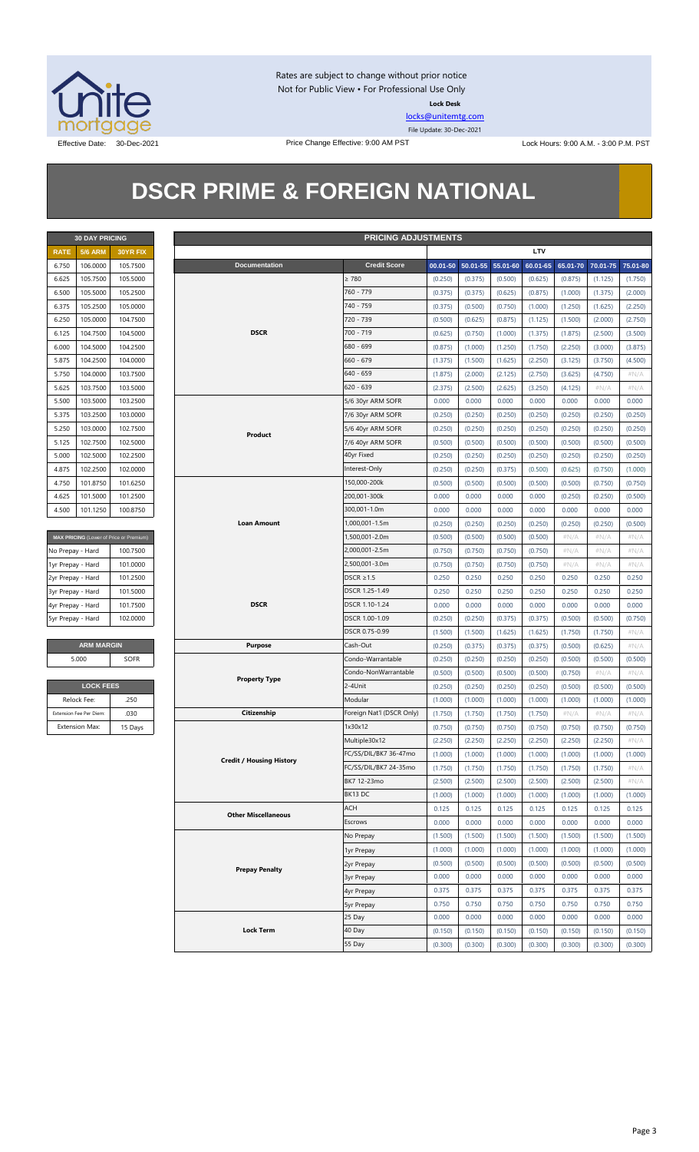

Rates are subject to change without prior notice Not for Public View • For Professional Use Only **Lock Desk**

[locks@unitemtg.com](mailto:locks@unitemtg.com) File Update: 30-Dec-2021

Effective Date: 30-Dec-2021 Price Change Effective: 9:00 AM PST Lock Hours: 9:00 A.M. - 3:00 P.M. PST

## **DSCR PRIME & FOREIGN NATIONAL**

|             | <b>30 DAY PRICING</b> |                 |
|-------------|-----------------------|-----------------|
| <b>RATE</b> | <b>5/6 ARM</b>        | <b>30YR FIX</b> |
| 6.750       | 106.0000              | 105.7500        |
| 6.625       | 105.7500              | 105,5000        |
| 6.500       | 105.5000              | 105.2500        |
| 6.375       | 105.2500              | 105.0000        |
| 6.250       | 105.0000              | 104.7500        |
| 6.125       | 104.7500              | 104.5000        |
| 6.000       | 104.5000              | 104.2500        |
| 5.875       | 104.2500              | 104.0000        |
| 5.750       | 104.0000              | 103.7500        |
| 5.625       | 103.7500              | 103.5000        |
| 5.500       | 103.5000              | 103.2500        |
| 5.375       | 103.2500              | 103.0000        |
| 5.250       | 103.0000              | 102.7500        |
| 5.125       | 102.7500              | 102.5000        |
| 5.000       | 102.5000              | 102.2500        |
| 4.875       | 102.2500              | 102.0000        |
| 4750        | 101.8750              | 101.6250        |
| 4.625       | 101.5000              | 101.2500        |
| 4.500       | 101.1250              | 100.8750        |

| MAX PRICING (Lower of Price or Premium) |          |  |  |  |  |  |  |  |
|-----------------------------------------|----------|--|--|--|--|--|--|--|
| No Prepay - Hard                        | 100.7500 |  |  |  |  |  |  |  |
| 1yr Prepay - Hard                       | 101.0000 |  |  |  |  |  |  |  |
| 2yr Prepay - Hard                       | 101.2500 |  |  |  |  |  |  |  |
| 3yr Prepay - Hard                       | 101.5000 |  |  |  |  |  |  |  |
| 4yr Prepay - Hard                       | 101.7500 |  |  |  |  |  |  |  |
| 5yr Prepay - Hard                       | 102,0000 |  |  |  |  |  |  |  |

| <b>ARM MARGIN</b> |             |
|-------------------|-------------|
| 5.000             | <b>SOFR</b> |

| <b>LOCK FEES</b>        |         |
|-------------------------|---------|
| Relock Fee:             | .250    |
| Extension Fee Per Diem: | .030    |
| <b>Extension Max:</b>   | 15 Days |

|                   | <b>PRICING ADJUSTMENTS</b><br><b>30 DAY PRICING</b> |                                         |  |                                 |                           |          |                   |         |            |         |                            |         |
|-------------------|-----------------------------------------------------|-----------------------------------------|--|---------------------------------|---------------------------|----------|-------------------|---------|------------|---------|----------------------------|---------|
| <b>RATE</b>       | <b>5/6 ARM</b>                                      | 30YR FIX                                |  |                                 |                           |          |                   |         | <b>LTV</b> |         |                            |         |
| 6.750             | 106.0000                                            | 105.7500                                |  | <b>Documentation</b>            | <b>Credit Score</b>       | 00.01-50 | 50.01-55 55.01-60 |         | 60.01-65   |         | 65.01-70 70.01-75 75.01-80 |         |
| 6.625             | 105.7500                                            | 105.5000                                |  |                                 | $\geq 780$                | (0.250)  | (0.375)           | (0.500) | (0.625)    | (0.875) | (1.125)                    | (1.750) |
| 6.500             | 105.5000                                            | 105.2500                                |  |                                 | 760 - 779                 | (0.375)  | (0.375)           | (0.625) | (0.875)    | (1.000) | (1.375)                    | (2.000) |
| 6.375             | 105.2500                                            | 105.0000                                |  |                                 | 740 - 759                 | (0.375)  | (0.500)           | (0.750) | (1.000)    | (1.250) | (1.625)                    | (2.250) |
| 6.250             | 105.0000                                            | 104.7500                                |  |                                 | 720 - 739                 | (0.500)  | (0.625)           | (0.875) | (1.125)    | (1.500) | (2.000)                    | (2.750) |
| 6.125             | 104.7500                                            | 104.5000                                |  | <b>DSCR</b>                     | 700 - 719                 | (0.625)  | (0.750)           | (1.000) | (1.375)    | (1.875) | (2.500)                    | (3.500) |
| 6.000             | 104.5000                                            | 104.2500                                |  |                                 | 680 - 699                 | (0.875)  | (1.000)           | (1.250) | (1.750)    | (2.250) | (3.000)                    | (3.875) |
| 5.875             | 104.2500                                            | 104.0000                                |  |                                 | $660 - 679$               | (1.375)  | (1.500)           | (1.625) | (2.250)    | (3.125) | (3.750)                    | (4.500) |
| 5.750             | 104.0000                                            | 103.7500                                |  |                                 | $640 - 659$               | (1.875)  | (2.000)           | (2.125) | (2.750)    | (3.625) | (4.750)                    | $\#N/A$ |
| 5.625             | 103.7500                                            | 103.5000                                |  |                                 | $620 - 639$               | (2.375)  | (2.500)           | (2.625) | (3.250)    | (4.125) | $\#N/A$                    | $\#N/A$ |
| 5.500             | 103.5000                                            | 103.2500                                |  |                                 | 5/6 30yr ARM SOFR         | 0.000    | 0.000             | 0.000   | 0.000      | 0.000   | 0.000                      | 0.000   |
| 5.375             | 103.2500                                            | 103.0000                                |  |                                 | 7/6 30yr ARM SOFR         | (0.250)  | (0.250)           | (0.250) | (0.250)    | (0.250) | (0.250)                    | (0.250) |
| 5.250             | 103.0000                                            | 102.7500                                |  |                                 | 5/6 40yr ARM SOFR         | (0.250)  | (0.250)           | (0.250) | (0.250)    | (0.250) | (0.250)                    | (0.250) |
|                   |                                                     |                                         |  | Product                         |                           |          |                   |         |            |         |                            |         |
| 5.125             | 102.7500                                            | 102.5000                                |  |                                 | 7/6 40yr ARM SOFR         | (0.500)  | (0.500)           | (0.500) | (0.500)    | (0.500) | (0.500)                    | (0.500) |
| 5.000             | 102.5000                                            | 102.2500                                |  |                                 | 40yr Fixed                | (0.250)  | (0.250)           | (0.250) | (0.250)    | (0.250) | (0.250)                    | (0.250) |
| 4.875             | 102.2500                                            | 102.0000                                |  |                                 | Interest-Only             | (0.250)  | (0.250)           | (0.375) | (0.500)    | (0.625) | (0.750)                    | (1.000) |
| 4.750             | 101.8750                                            | 101.6250                                |  |                                 | 150,000-200k              | (0.500)  | (0.500)           | (0.500) | (0.500)    | (0.500) | (0.750)                    | (0.750) |
| 4.625             | 101.5000                                            | 101.2500                                |  |                                 | 200,001-300k              | 0.000    | 0.000             | 0.000   | 0.000      | (0.250) | (0.250)                    | (0.500) |
| 4.500             | 101.1250                                            | 100.8750                                |  |                                 | 300,001-1.0m              | 0.000    | 0.000             | 0.000   | 0.000      | 0.000   | 0.000                      | 0.000   |
|                   |                                                     |                                         |  | <b>Loan Amount</b>              | 1,000,001-1.5m            | (0.250)  | (0.250)           | (0.250) | (0.250)    | (0.250) | (0.250)                    | (0.500) |
|                   |                                                     | MAX PRICING (Lower of Price or Premium) |  |                                 | 1,500,001-2.0m            | (0.500)  | (0.500)           | (0.500) | (0.500)    | # $N/A$ | $\#N/A$                    | # $N/A$ |
| No Prepay - Hard  |                                                     | 100.7500                                |  |                                 | 2,000,001-2.5m            | (0.750)  | (0.750)           | (0.750) | (0.750)    | # $N/A$ | $\#N/A$                    | # $N/A$ |
| 1yr Prepay - Hard |                                                     | 101.0000                                |  |                                 | 2,500,001-3.0m            | (0.750)  | (0.750)           | (0.750) | (0.750)    | # $N/A$ | $\#N/A$                    | # $N/A$ |
| 2yr Prepay - Hard |                                                     | 101.2500                                |  |                                 | DSCR $\geq$ 1.5           | 0.250    | 0.250             | 0.250   | 0.250      | 0.250   | 0.250                      | 0.250   |
| 3yr Prepay - Hard |                                                     | 101.5000                                |  |                                 | DSCR 1.25-1.49            | 0.250    | 0.250             | 0.250   | 0.250      | 0.250   | 0.250                      | 0.250   |
| 4yr Prepay - Hard |                                                     | 101.7500                                |  | <b>DSCR</b>                     | DSCR 1.10-1.24            | 0.000    | 0.000             | 0.000   | 0.000      | 0.000   | 0.000                      | 0.000   |
| 5yr Prepay - Hard |                                                     | 102.0000                                |  |                                 | DSCR 1.00-1.09            | (0.250)  | (0.250)           | (0.375) | (0.375)    | (0.500) | (0.500)                    | (0.750) |
|                   |                                                     |                                         |  |                                 | DSCR 0.75-0.99            | (1.500)  | (1.500)           | (1.625) | (1.625)    | (1.750) | (1.750)                    | # $N/A$ |
|                   | <b>ARM MARGIN</b>                                   |                                         |  | <b>Purpose</b>                  | Cash-Out                  | (0.250)  | (0.375)           | (0.375) | (0.375)    | (0.500) | (0.625)                    | $\#N/A$ |
|                   | 5.000                                               | <b>SOFR</b>                             |  |                                 | Condo-Warrantable         | (0.250)  | (0.250)           | (0.250) | (0.250)    | (0.500) | (0.500)                    | (0.500) |
|                   |                                                     |                                         |  |                                 | Condo-NonWarrantable      | (0.500)  | (0.500)           | (0.500) | (0.500)    | (0.750) | $\#N/A$                    | #N/A    |
|                   | <b>LOCK FEES</b>                                    |                                         |  | <b>Property Type</b>            | 2-4Unit                   | (0.250)  | (0.250)           | (0.250) | (0.250)    | (0.500) | (0.500)                    | (0.500) |
|                   | Relock Fee:                                         | .250                                    |  |                                 | Modular                   | (1.000)  | (1.000)           | (1.000) | (1.000)    | (1.000) | (1.000)                    | (1.000) |
|                   | Extension Fee Per Diem:                             | .030                                    |  | Citizenship                     | Foreign Nat'l (DSCR Only) | (1.750)  | (1.750)           | (1.750) | (1.750)    | $\#N/A$ | $\#N/A$                    | $\#N/A$ |
|                   | <b>Extension Max:</b>                               | 15 Days                                 |  |                                 | 1x30x12                   | (0.750)  | (0.750)           | (0.750) | (0.750)    | (0.750) | (0.750)                    | (0.750) |
|                   |                                                     |                                         |  |                                 | Multiple30x12             | (2.250)  | (2.250)           | (2.250) | (2.250)    | (2.250) | (2.250)                    | $\#N/A$ |
|                   |                                                     |                                         |  |                                 | FC/SS/DIL/BK7 36-47mo     | (1.000)  | (1.000)           | (1.000) | (1.000)    | (1.000) | (1.000)                    | (1.000) |
|                   |                                                     |                                         |  | <b>Credit / Housing History</b> | FC/SS/DIL/BK7 24-35mo     | (1.750)  | (1.750)           | (1.750) | (1.750)    | (1.750) | (1.750)                    | # $N/A$ |
|                   |                                                     |                                         |  |                                 | BK7 12-23mo               |          |                   |         |            |         |                            |         |
|                   |                                                     |                                         |  |                                 | BK13 DC                   | (2.500)  | (2.500)           | (2.500) | (2.500)    | (2.500) | (2.500)                    | $\#N/A$ |
|                   |                                                     |                                         |  |                                 | ACH                       | (1.000)  | (1.000)           | (1.000) | (1.000)    | (1.000) | (1.000)                    | (1.000) |
|                   |                                                     |                                         |  | <b>Other Miscellaneous</b>      |                           | 0.125    | 0.125             | 0.125   | 0.125      | 0.125   | 0.125                      | 0.125   |
|                   |                                                     |                                         |  |                                 | Escrows                   | 0.000    | 0.000             | 0.000   | 0.000      | 0.000   | 0.000                      | 0.000   |
|                   |                                                     |                                         |  |                                 | No Prepay                 | (1.500)  | (1.500)           | (1.500) | (1.500)    | (1.500) | (1.500)                    | (1.500) |
|                   |                                                     |                                         |  |                                 | 1yr Prepay                | (1.000)  | (1.000)           | (1.000) | (1.000)    | (1.000) | (1.000)                    | (1.000) |
|                   |                                                     |                                         |  | <b>Prepay Penalty</b>           | 2yr Prepay                | (0.500)  | (0.500)           | (0.500) | (0.500)    | (0.500) | (0.500)                    | (0.500) |
|                   |                                                     |                                         |  |                                 | 3yr Prepay                | 0.000    | 0.000             | 0.000   | 0.000      | 0.000   | 0.000                      | 0.000   |
|                   |                                                     |                                         |  |                                 | 4yr Prepay                | 0.375    | 0.375             | 0.375   | 0.375      | 0.375   | 0.375                      | 0.375   |
|                   |                                                     |                                         |  |                                 | 5yr Prepay                | 0.750    | 0.750             | 0.750   | 0.750      | 0.750   | 0.750                      | 0.750   |
|                   |                                                     |                                         |  |                                 | 25 Day                    | 0.000    | 0.000             | 0.000   | 0.000      | 0.000   | 0.000                      | 0.000   |
|                   |                                                     |                                         |  | <b>Lock Term</b>                | 40 Day                    | (0.150)  | (0.150)           | (0.150) | (0.150)    | (0.150) | (0.150)                    | (0.150) |
|                   |                                                     |                                         |  |                                 | 55 Day                    | (0.300)  | (0.300)           | (0.300) | (0.300)    | (0.300) | (0.300)                    | (0.300) |
|                   |                                                     |                                         |  |                                 |                           |          |                   |         |            |         |                            |         |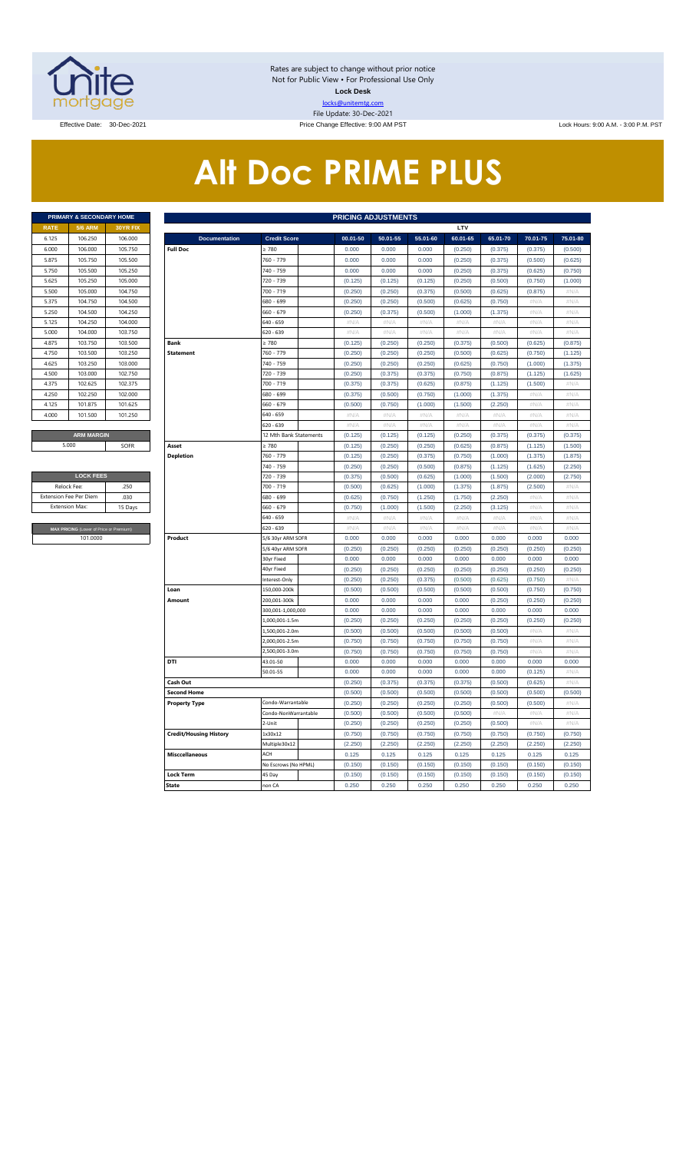

Rates are subject to change without prior notice Not for Public View • For Professional Use Only **Lock Desk** locks@unitemtg.com File Update: 30-Dec-2021

Effective Date: 30-Dec-2021 **Price Change Effective: 9:00 AM PST** Lock Hours: 9:00 A.M. - 3:00 P.M. PST

# **Alt Doc PRIME PLUS**

|             | <b>PRIMARY &amp; SECONDARY HOME</b> |                 |
|-------------|-------------------------------------|-----------------|
| <b>RATE</b> | <b>5/6 ARM</b>                      | <b>30YR FIX</b> |
| 6.125       | 106.250                             | 106,000         |
| 6.000       | 106,000                             | 105.750         |
| 5.875       | 105.750                             | 105.500         |
| 5.750       | 105.500                             | 105.250         |
| 5.625       | 105.250                             | 105,000         |
| 5.500       | 105.000                             | 104.750         |
| 5.375       | 104.750                             | 104.500         |
| 5.250       | 104.500                             | 104.250         |
| 5.125       | 104.250                             | 104.000         |
| 5.000       | 104.000                             | 103.750         |
| 4.875       | 103.750                             | 103.500         |
| 4.750       | 103.500                             | 103.250         |
| 4.625       | 103.250                             | 103.000         |
| 4.500       | 103,000                             | 102.750         |
| 4.375       | 102.625                             | 102.375         |
| 4.250       | 102.250                             | 102.000         |
| 4.125       | 101.875                             | 101.625         |
| 4.000       | 101.500                             | 101.250         |
|             |                                     |                 |
|             | <b>ARM MARGIN</b>                   |                 |

| <b>LOCK FEES</b>                        |         |  |  |  |  |  |  |  |  |  |
|-----------------------------------------|---------|--|--|--|--|--|--|--|--|--|
| Relock Fee:                             | 250     |  |  |  |  |  |  |  |  |  |
| <b>Extension Fee Per Diem</b>           | .030    |  |  |  |  |  |  |  |  |  |
| <b>Extension Max:</b>                   | 15 Days |  |  |  |  |  |  |  |  |  |
|                                         |         |  |  |  |  |  |  |  |  |  |
| MAX PRICING (Lower of Price or Premium) |         |  |  |  |  |  |  |  |  |  |
| 101,0000                                |         |  |  |  |  |  |  |  |  |  |

|                       | PRIMARY & SECONDARY HOME                |         |                               |                        |          | <b>PRICING ADJUSTMENTS</b> |             |                    |          |            |                   |
|-----------------------|-----------------------------------------|---------|-------------------------------|------------------------|----------|----------------------------|-------------|--------------------|----------|------------|-------------------|
| RATE                  | <b>5/6 ARM</b>                          | 30YR FD |                               |                        |          |                            |             | LTV                |          |            |                   |
| 6.125                 | 106.250                                 | 106.000 | <b>Documentation</b>          | <b>Credit Score</b>    | 00.01-50 | 50.01-55                   | 55.01-60    | 60.01-65           | 65.01-70 | 70.01-75   | 75.01-80          |
| 6.000                 | 106.000                                 | 105.750 | <b>Full Doc</b>               | 2780                   | 0.000    | 0.000                      | 0.000       | (0.250)            | (0.375)  | (0.375)    | (0.500)           |
| 5.875                 | 105.750                                 | 105.500 |                               | 760 - 779              | 0.000    | 0.000                      | 0.000       | (0.250)            | (0.375)  | (0.500)    | (0.625)           |
| 5.750                 | 105.500                                 | 105.250 |                               | 740 - 759              | 0.000    | 0.000                      | 0.000       | (0.250)            | (0.375)  | (0.625)    | (0.750)           |
| 5.625                 | 105.250                                 | 105.000 |                               | 720 - 739              | (0.125)  | (0.125)                    | (0.125)     | (0.250)            | (0.500)  | (0.750)    | (1.000)           |
| 5.500                 | 105.000                                 | 104.750 |                               | 700 - 719              | (0.250)  | (0.250)                    | (0.375)     | (0.500)            | (0.625)  | (0.875)    | #N/A              |
| 5.375                 | 104.750                                 | 104.500 |                               | 680 - 699              | (0.250)  | (0.250)                    | (0.500)     | (0.625)            | (0.750)  | #N/A       | #N/A              |
| 5.250                 | 104.500                                 | 104.250 |                               | 660 - 679              | (0.250)  | (0.375)                    | (0.500)     | (1.000)            | (1.375)  | #N/A       | #N/A              |
| 5.125                 | 104.250                                 | 104.000 |                               | 640 - 659              | #N/A     | #N/A                       | $\#N/\ell$  | $\#\mathbb{N}/\!/$ | #N/A     | #N/A       | #N/A              |
| 5.000                 | 104.000                                 | 103.750 |                               | 620 - 639              | #N/A     | #N/A                       | #N/A        | #N/A               | #N/A     | #N/A       | $\#N/A$           |
| 4.875                 | 103.750                                 | 103.500 | <b>Bank</b>                   | $\geq 780$             | (0.125)  | (0.250)                    | (0.250)     | (0.375)            | (0.500)  | (0.625)    | (0.875)           |
| 4.750                 | 103.500                                 | 103.250 | <b>Statement</b>              | 760 - 779              | (0.250)  | (0.250)                    | (0.250)     | (0.500)            | (0.625)  | (0.750)    | (1.125)           |
| 4.625                 | 103.250                                 | 103.000 |                               | 740 - 759              | (0.250)  | (0.250)                    | (0.250)     | (0.625)            | (0.750)  | (1.000)    | (1.375)           |
| 4.500                 | 103.000                                 | 102.750 |                               | 720 - 739              | (0.250)  | (0.375)                    | (0.375)     | (0.750)            | (0.875)  | (1.125)    | (1.625)           |
| 4.375                 | 102.625                                 | 102.375 |                               | 700 - 719              | (0.375)  | (0.375)                    | (0.625)     | (0.875)            | (1.125)  | (1.500)    | #N/A              |
| 4.250                 | 102.250                                 | 102.000 |                               | 680 - 699              | (0.375)  | (0.500)                    | (0.750)     | (1.000)            | (1.375)  | #N/A       | #N/A              |
| 4.125                 | 101.875                                 | 101.625 |                               | 660 - 679              | (0.500)  | (0.750)                    | (1.000)     | (1.500)            | (2.250)  | #N/A       | #N/A              |
| 4.000                 | 101.500                                 | 101.250 |                               | 640 - 659              | #N/A     | #N/A                       | #N/A        | #N/A               | #N/A     | #N/A       | $\#N/A$           |
|                       |                                         |         |                               | 620 - 639              | #N/A     | #N/A                       | #N/A        | #N/A               | #N/A     | #N/A       | #N/A              |
|                       | <b>ARM MARGIN</b>                       |         |                               | 12 Mth Bank Statements | (0.125)  | (0.125)                    | (0.125)     | (0.250)            | (0.375)  | (0.375)    | (0.375)           |
|                       | 5.000                                   | SOFR    | Asset                         | $\geq 780$             | (0.125)  | (0.250)                    | (0.250)     | (0.625)            | (0.875)  | (1.125)    | (1.500)           |
|                       |                                         |         | <b>Depletion</b>              | 760 - 779              | (0.125)  | (0.250)                    | (0.375)     | (0.750)            | (1.000)  | (1.375)    | (1.875)           |
|                       |                                         |         |                               | 740 - 759              | (0.250)  | (0.250)                    | (0.500)     | (0.875)            | (1.125)  | (1.625)    | (2.250)           |
|                       | <b>LOCK FEES</b>                        |         |                               | 720 - 739              | (0.375)  | (0.500)                    | (0.625)     | (1.000)            | (1.500)  | (2.000)    | (2.750)           |
| Relock Fee:           |                                         | 250     |                               | 700 - 719              | (0.500)  | (0.625)                    | (1.000)     | (1.375)            | (1.875)  | (2.500)    | $\#N/\mathcal{A}$ |
|                       | xtension Fee Per Diem                   | .030    |                               | 680 - 699              | (0.625)  | (0.750)                    | (1.250)     | (1.750)            | (2.250)  | #N/A       | #N/A              |
| <b>Extension Max:</b> |                                         | 15 Days |                               | 660 - 679              | (0.750)  | (1.000)                    | (1.500)     | (2.250)            | (3.125)  | #N/A       | #N/A              |
|                       |                                         |         |                               | 640 - 659              | $\#N/A$  | $\#N/A$                    | $\#N/A$     | #N/A               | $\#N/A$  | #N/A       | #N/A              |
|                       | MAX PRICING (Lower of Price or Premium) |         |                               | 620 - 639              | $\#N/A$  | $\#N/\mathcal{A}$          | $\#N/\beta$ | $\#N/A$            | $\#N/A$  | $\#N/\ell$ | $\#N/A$           |
|                       | 101.0000                                |         | Product                       | 5/6 30yr ARM SOFR      | 0.000    | 0.000                      | 0.000       | 0.000              | 0.000    | 0.000      | 0.000             |
|                       |                                         |         |                               | 5/6 40yr ARM SOFR      | (0.250)  | (0.250)                    | (0.250)     | (0.250)            | (0.250)  | (0.250)    | (0.250)           |
|                       |                                         |         |                               | 30yr Fixed             | 0.000    | 0.000                      | 0.000       | 0.000              | 0.000    | 0.000      | 0.000             |
|                       |                                         |         |                               | 40yr Fixed             | (0.250)  | (0.250)                    | (0.250)     | (0.250)            | (0.250)  | (0.250)    | (0.250)           |
|                       |                                         |         |                               | nterest-Only           | (0.250)  | (0.250)                    | (0.375)     | (0.500)            | (0.625)  | (0.750)    | #N/A              |
|                       |                                         |         | Loan                          | 150,000-200k           | (0.500)  | (0.500)                    | (0.500)     | (0.500)            | (0.500)  | (0.750)    | (0.750)           |
|                       |                                         |         | Amount                        | 200,001-300k           | 0.000    | 0.000                      | 0.000       | 0.000              | (0.250)  | (0.250)    | (0.250)           |
|                       |                                         |         |                               | 300,001-1,000,000      | 0.000    | 0.000                      | 0.000       | 0.000              | 0.000    | 0.000      | 0.000             |
|                       |                                         |         |                               | 1,000,001-1.5m         | (0.250)  | (0.250)                    | (0.250)     | (0.250)            | (0.250)  | (0.250)    | (0.250)           |
|                       |                                         |         |                               | .,500,001-2.0m         | (0.500)  | (0.500)                    | (0.500)     | (0.500)            | (0.500)  | $\#N/\ell$ | $\#N/\beta$       |
|                       |                                         |         |                               | 2,000,001-2.5m         | (0.750)  | (0.750)                    | (0.750)     | (0.750)            | (0.750)  | #N/A       | #N/A              |
|                       |                                         |         |                               | 500,001-3.0m           | (0.750)  | (0.750)                    | (0.750)     | (0.750)            | (0.750)  | #N/A       | #N/A              |
|                       |                                         |         | DTI                           | 43.01-50               | 0.000    | 0.000                      | 0.000       | 0.000              | 0.000    | 0.000      | 0.000             |
|                       |                                         |         |                               | 50.01-55               | 0.000    | 0.000                      | 0.000       | 0.000              | 0.000    | (0.125)    | #N/A              |
|                       |                                         |         | Cash Out                      |                        | (0.250)  | (0.375)                    | (0.375)     | (0.375)            | (0.500)  | (0.625)    | #N/A              |
|                       |                                         |         | <b>Second Home</b>            |                        | (0.500)  | (0.500)                    | (0.500)     | (0.500)            | (0.500)  | (0.500)    | (0.500)           |
|                       |                                         |         | <b>Property Type</b>          | Condo-Warrantable      | (0.250)  | (0.250)                    | (0.250)     | (0.250)            | (0.500)  | (0.500)    | #N/A              |
|                       |                                         |         |                               | Condo-NonWarrantable   | (0.500)  | (0.500)                    | (0.500)     | (0.500)            | #N/A     | #N/A       | #N/A              |
|                       |                                         |         |                               | 2-Unit                 | (0.250)  | (0.250)                    | (0.250)     | (0.250)            | (0.500)  | #N/A       | #N/A              |
|                       |                                         |         | <b>Credit/Housing History</b> | 1x30x12                | (0.750)  | (0.750)                    | (0.750)     | (0.750)            | (0.750)  | (0.750)    | (0.750)           |
|                       |                                         |         |                               | Multiple30x12          | (2.250)  | (2.250)                    | (2.250)     | (2.250)            | (2.250)  | (2.250)    | (2.250)           |
|                       |                                         |         | <b>Misccellaneous</b>         | ACH                    | 0.125    | 0.125                      | 0.125       | 0.125              | 0.125    | 0.125      | 0.125             |
|                       |                                         |         |                               | No Escrows (No HPML)   | (0.150)  | (0.150)                    | (0.150)     | (0.150)            | (0.150)  | (0.150)    | (0.150)           |
|                       |                                         |         | <b>Lock Term</b>              | 45 Day                 | (0.150)  | (0.150)                    | (0.150)     | (0.150)            | (0.150)  | (0.150)    | (0.150)           |
|                       |                                         |         | <b>State</b>                  | non CA                 | 0.250    | 0.250                      | 0.250       | 0.250              | 0.250    | 0.250      | 0.250             |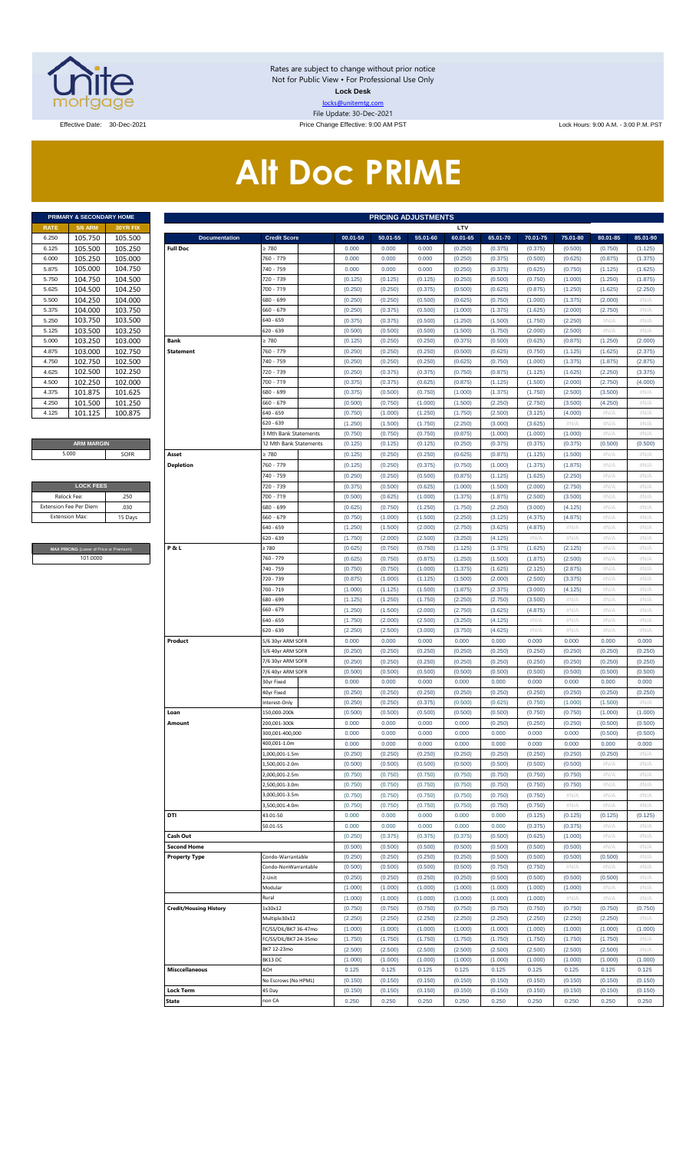

Rates are subject to change without prior notice Not for Public View • For Professional Use Only **Lock Desk** locks@unitemtg.com File Update: 30-Dec-2021

Effective Date: 30-Dec-2021 **Price Change Effective: 9:00 AM PST** Lock Hours: 9:00 A.M. - 3:00 P.M. PST

# **Alt Doc PRIME**

|             | <b>PRIMARY &amp; SECONDARY HOME</b> |                 |
|-------------|-------------------------------------|-----------------|
| <b>RATE</b> | <b>5/6 ARM</b>                      | <b>30YR FIX</b> |
| 6.250       | 105.750                             | 105.500         |
| 6.125       | 105.500                             | 105.250         |
| 6.000       | 105.250                             | 105.000         |
| 5.875       | 105.000                             | 104.750         |
| 5.750       | 104.750                             | 104.500         |
| 5.625       | 104.500                             | 104.250         |
| 5.500       | 104.250                             | 104.000         |
| 5.375       | 104.000                             | 103.750         |
| 5.250       | 103.750                             | 103.500         |
| 5.125       | 103.500                             | 103.250         |
| 5.000       | 103.250                             | 103.000         |
| 4.875       | 103.000                             | 102.750         |
| 4.750       | 102.750                             | 102.500         |
| 4.625       | 102.500                             | 102.250         |
| 4.500       | 102.250                             | 102.000         |
| 4.375       | 101.875                             | 101.625         |
| 4.250       | 101.500                             | 101.250         |
| 4.125       | 101.125                             | 100.875         |

#### **ARM MARGIN** 5.000

| <b>LOCK FEES</b>              |         |
|-------------------------------|---------|
| Relock Fee:                   | .250    |
| <b>Extension Fee Per Diem</b> | .030    |
| <b>Extension Max:</b>         | 15 Days |
|                               |         |

**RICING** (Lower of Price or Premium) 101.0000

|                       | PRIMARY & SECONDARY HOME                |                    |                                         |                                                 |                    | <b>PRICING ADJUSTMENTS</b> |                    |                     |                     |                     |                     |                     |                     |
|-----------------------|-----------------------------------------|--------------------|-----------------------------------------|-------------------------------------------------|--------------------|----------------------------|--------------------|---------------------|---------------------|---------------------|---------------------|---------------------|---------------------|
| RATE                  | <b>5/6 ARM</b>                          | 30YR FIX           |                                         |                                                 |                    |                            |                    | LTV                 |                     |                     |                     |                     |                     |
| 6.250<br>6.125        | 105.750<br>105.500                      | 105.500<br>105.250 | <b>Documentation</b><br><b>Full Doc</b> | <b>Credit Score</b><br>2780                     | 00.01-50<br>0.000  | 50.01-55<br>0.000          | 55.01-60<br>0.000  | 60.01-65<br>(0.250) | 65.01-70<br>(0.375) | 70.01-75<br>(0.375) | 75.01-80<br>(0.500) | 80.01-85<br>(0.750) | 85.01-90<br>(1.125) |
| 6.000                 | 105.250                                 | 105.000            |                                         | 760 - 779                                       | 0.000              | 0.000                      | 0.000              | (0.250)             | (0.375)             | (0.500)             | (0.625)             | (0.875)             | (1.375)             |
| 5.875                 | 105.000                                 | 104.750            |                                         | 740 - 759                                       | 0.000              | 0.000                      | 0.000              | (0.250)             | (0.375)             | (0.625)             | (0.750)             | (1.125)             | (1.625)             |
| 5.750                 | 104.750                                 | 104.500            |                                         | 720 - 739                                       | (0.125)            | (0.125)                    | (0.125)            | (0.250)             | (0.500)             | (0.750)             | (1.000)             | (1.250)             | (1.875)             |
| 5.625                 | 104.500                                 | 104.250            |                                         | 700 - 719                                       | (0.250)            | (0.250)                    | (0.375)            | (0.500)             | (0.625)             | (0.875)             | (1.250)             | (1.625)             | (2.250)             |
| 5.500                 | 104.250                                 | 104.000            |                                         | 680 - 699                                       | (0.250)            | (0.250)                    | (0.500)            | (0.625)             | (0.750)             | (1.000)             | (1.375)             | (2.000)             | #N/A                |
| 5.375                 | 104.000                                 | 103.750            |                                         | 660 - 679                                       | (0.250)            | (0.375)                    | (0.500)            | (1.000)             | (1.375)             | (1.625)             | (2.000)             | (2.750)             | #N/A                |
| 5.250                 | 103.750                                 | 103.500            |                                         | 640 - 659                                       | (0.375)            | (0.375)                    | (0.500)            | (1.250)             | (1.500)             | (1.750)             | (2.250)             | $\#N/A$             | #N/A                |
| 5.125                 | 103.500                                 | 103.250            |                                         | 620 - 639                                       | (0.500)            | (0.500)                    | (0.500)            | (1.500)             | (1.750)             | (2.000)             | (2.500)             | $\#N/A$             | #N/A                |
| 5.000                 | 103.250                                 | 103.000            | Bank                                    | ≥ 780                                           | (0.125)            | (0.250)                    | (0.250)            | (0.375)             | (0.500)             | (0.625)             | (0.875)             | (1.250)             | (2.000)             |
| 4.875                 | 103.000                                 | 102.750            | <b>Statement</b>                        | 760 - 779                                       | (0.250)            | (0.250)                    | (0.250)            | (0.500)             | (0.625)             | (0.750)             | (1.125)             | (1.625)             | (2.375)             |
| 4.750                 | 102.750                                 | 102.500            |                                         | 740 - 759                                       | (0.250)            | (0.250)                    | (0.250)            | (0.625)             | (0.750)             | (1.000)             | (1.375)             | (1.875)             | (2.875)             |
| 4.625                 | 102.500                                 | 102.250            |                                         | 720 - 739                                       | (0.250)            | (0.375)                    | (0.375)            | (0.750)             | (0.875)             | (1.125)             | (1.625)             | (2.250)             | (3.375)             |
| 4.500                 | 102.250                                 | 102.000            |                                         | 700 - 719                                       | (0.375)            | (0.375)                    | (0.625)            | (0.875)             | (1.125)             | (1.500)             | (2.000)             | (2.750)             | (4.000)             |
| 4.375                 | 101.875                                 | 101.625            |                                         | 680 - 699                                       | (0.375)            | (0.500)                    | (0.750)            | (1.000)             | (1.375)             | (1.750)             | (2.500)             | (3.500)             | #N/A                |
| 4.250                 | 101.500                                 | 101.250            |                                         | 660 - 679                                       | (0.500)            | (0.750)                    | (1.000)            | (1.500)             | (2.250)             | (2.750)             | (3.500)             | (4.250)             | #N/A                |
| 4.125                 | 101.125                                 | 100.875            |                                         | 640 - 659                                       | (0.750)            | (1.000)                    | (1.250)            | (1.750)             | (2.500)             | (3.125)             | (4.000)             | #N/A                | #N/A                |
|                       |                                         |                    |                                         | 620 - 639                                       | (1.250)            | (1.500)                    | (1.750)            | (2.250)             | (3.000)             | (3.625)             | #N/A                | $\#N/A$<br>$\#N/A$  | #N/A                |
|                       | <b>ARM MARGIN</b>                       |                    |                                         | 3 Mth Bank Statements<br>12 Mth Bank Statements | (0.750)<br>(0.125) | (0.750)<br>(0.125)         | (0.750)<br>(0.125) | (0.875)<br>(0.250)  | (1.000)<br>(0.375)  | (1.000)<br>(0.375)  | (1.000)<br>(0.375)  | (0.500)             | #N/A<br>(0.500)     |
| 5.000                 |                                         | SOFR               | Asset                                   | 2780                                            | (0.125)            | (0.250)                    | (0.250)            | (0.625)             | (0.875)             | (1.125)             | (1.500)             | #N/A                | #N/A                |
|                       |                                         |                    | <b>Depletion</b>                        | 760 - 779                                       | (0.125)            | (0.250)                    | (0.375)            | (0.750)             | (1.000)             | (1.375)             | (1.875)             | #N/A                | #N/A                |
|                       |                                         |                    |                                         | 740 - 759                                       | (0.250)            | (0.250)                    | (0.500)            | (0.875)             | (1.125)             | (1.625)             | (2.250)             | #N/A                | #N/A                |
|                       | <b>LOCK FEES</b>                        |                    |                                         | 720 - 739                                       | (0.375)            | (0.500)                    | (0.625)            | (1.000)             | (1.500)             | (2.000)             | (2.750)             | #N/A                | $\#N/A$             |
| Relock Fee:           |                                         | .250               |                                         | 700 - 719                                       | (0.500)            | (0.625)                    | (1.000)            | (1.375)             | (1.875)             | (2.500)             | (3.500)             | #N/A                | #N/A                |
|                       | xtension Fee Per Diem                   | .030               |                                         | 680 - 699                                       | (0.625)            | (0.750)                    | (1.250)            | (1.750)             | (2.250)             | (3.000)             | (4.125)             | #N/A                | #N/A                |
| <b>Extension Max:</b> |                                         | 15 Days            |                                         | 660 - 679                                       | (0.750)            | (1.000)                    | (1.500)            | (2.250)             | (3.125)             | (4.375)             | (4.875)             | #N/A                | #N/A                |
|                       |                                         |                    |                                         | 640 - 659                                       | (1.250)            | (1.500)                    | (2.000)            | (2.750)             | (3.625)             | (4.875)             | #N/A                | #N/A                | #N/A                |
|                       |                                         |                    |                                         | 620 - 639                                       | (1.750)            | (2.000)                    | (2.500)            | (3.250)             | (4.125)             | #N/A                | #N/A                | #N/A                | #N/A                |
|                       | MAX PRICING (Lower of Price or Premium) |                    | P&L                                     | 2780                                            | (0.625)            | (0.750)                    | (0.750)            | (1.125)             | (1.375)             | (1.625)             | (2.125)             | #N/A                | #N/A                |
|                       | 101.0000                                |                    |                                         | 760 - 779                                       | (0.625)            | (0.750)                    | (0.875)            | (1.250)             | (1.500)             | (1.875)             | (2.500)             | #N/A                | #N/A                |
|                       |                                         |                    |                                         | 740 - 759                                       | (0.750)            | (0.750)                    | (1.000)            | (1.375)             | (1.625)             | (2.125)             | (2.875)             | #N/A                | #N/A                |
|                       |                                         |                    |                                         | 720 - 739                                       | (0.875)            | (1.000)                    | (1.125)            | (1.500)             | (2.000)             | (2.500)             | (3.375)             | #N/A                | #N/A                |
|                       |                                         |                    |                                         | 700 - 719                                       | (1.000)            | (1.125)                    | (1.500)            | (1.875)             | (2.375)             | (3.000)             | (4.125)             | #N/A                | #N/A                |
|                       |                                         |                    |                                         | 680 - 699                                       | (1.125)            | (1.250)                    | (1.750)            | (2.250)             | (2.750)             | (3.500)             | #N/A                | #N/A                | #N/A                |
|                       |                                         |                    |                                         | 660 - 679                                       | (1.250)            | (1.500)                    | (2.000)            | (2.750)             | (3.625)             | (4.875)             | #N/A                | #N/A                | #N/A                |
|                       |                                         |                    |                                         | 640 - 659                                       | (1.750)            | (2.000)                    | (2.500)            | (3.250)             | (4.125)             | #N/A<br>#N/A        | #N/A<br>#N/A        | #N/A<br>#N/A        | #N/A                |
|                       |                                         |                    | Product                                 | 620 - 639<br>5/6 30yr ARM SOFR                  | (2.250)<br>0.000   | (2.500)<br>0.000           | (3.000)<br>0.000   | (3.750)<br>0.000    | (4.625)<br>0.000    | 0.000               | 0.000               | 0.000               | #N/A<br>0.000       |
|                       |                                         |                    |                                         | 5/6 40yr ARM SOFR                               | (0.250)            | (0.250)                    | (0.250)            | (0.250)             | (0.250)             | (0.250)             | (0.250)             | (0.250)             | (0.250)             |
|                       |                                         |                    |                                         | 7/6 30yr ARM SOFR                               | (0.250)            | (0.250)                    | (0.250)            | (0.250)             | (0.250)             | (0.250)             | (0.250)             | (0.250)             | (0.250)             |
|                       |                                         |                    |                                         | 7/6 40yr ARM SOFR                               | (0.500)            | (0.500)                    | (0.500)            | (0.500)             | (0.500)             | (0.500)             | (0.500)             | (0.500)             | (0.500)             |
|                       |                                         |                    |                                         | 30yr Fixed                                      | 0.000              | 0.000                      | 0.000              | 0.000               | 0.000               | 0.000               | 0.000               | 0.000               | 0.000               |
|                       |                                         |                    |                                         | 40yr Fixed                                      | (0.250)            | (0.250)                    | (0.250)            | (0.250)             | (0.250)             | (0.250)             | (0.250)             | (0.250)             | (0.250)             |
|                       |                                         |                    |                                         | nterest-Only                                    | (0.250)            | (0.250)                    | (0.375)            | (0.500)             | (0.625)             | (0.750)             | (1.000)             | (1.500)             | #N/A                |
|                       |                                         |                    | Loan                                    | 150.000-200k                                    | (0.500)            | (0.500)                    | (0.500)            | (0.500)             | (0.500)             | (0.750)             | (0.750)             | (1.000)             | (1.000)             |
|                       |                                         |                    | Amount                                  | 200,001-300k                                    | 0.000              | 0.000                      | 0.000              | 0.000               | (0.250)             | (0.250)             | (0.250)             | (0.500)             | (0.500)             |
|                       |                                         |                    |                                         | 300,001-400,000                                 | 0.000              | 0.000                      | 0.000              | 0.000               | 0.000               | 0.000               | 0.000               | (0.500)             | (0.500)             |
|                       |                                         |                    |                                         | 400.001-1.0m                                    | 0.000              | 0.000                      | 0.000              | 0.000               | 0.000               | 0.000               | 0.000               | 0.000               | 0.000               |
|                       |                                         |                    |                                         | ,000,001-1.5m                                   | (0.250)            | (0.250)                    | (0.250)            | (0.250)             | (0.250)             | (0.250)             | (0.250)             | (0.250)             | #N/A                |
|                       |                                         |                    |                                         | ,500,001-2.0m                                   | (0.500)            | (0.500)                    | (0.500)            | (0.500)             | (0.500)             | (0.500)             | (0.500)             | #N/A                | #N/A                |
|                       |                                         |                    |                                         | ,000,001-2.5m                                   | (0.750)            | (0.750)                    | (0.750)            | (0.750)             | (0.750)             | (0.750)             | (0.750)             | #N/A                | # $N/A$             |
|                       |                                         |                    |                                         | 500,001-3.0m                                    | (0.750)            | (0.750)                    | (0.750)            | (0.750)             | (0.750)             | (0.750)             | (0.750)             | #N/A                | # $N/A$             |
|                       |                                         |                    |                                         | ,000,001-3.5m                                   | (0.750)            | (0.750)                    | (0.750)            | (0.750)             | (0.750)             | (0.750)             | #N/A                | #N/A                | # $N/A$             |
|                       |                                         |                    | DTI                                     | ,500,001-4.0m                                   | (0.750)            | (0.750)                    | (0.750)            | (0.750)             | (0.750)             | (0.750)             | #N/A                | #N/A                | #N/A                |
|                       |                                         |                    |                                         | 13.01-50<br>50.01-55                            | 0.000<br>0.000     | 0.000<br>0.000             | 0.000<br>0.000     | 0.000<br>0.000      | 0.000<br>0.000      | (0.125)<br>(0.375)  | (0.125)<br>(0.375)  | (0.125)<br>#N/A     | (0.125)<br>#N/A     |
|                       |                                         |                    | Cash Out                                |                                                 | (0.250)            | (0.375)                    | (0.375)            | (0.375)             | (0.500)             | (0.625)             | (1.000)             | #N/A                | #N/A                |
|                       |                                         |                    | <b>Second Home</b>                      |                                                 | (0.500)            | (0.500)                    | (0.500)            | (0.500)             | (0.500)             | (0.500)             | (0.500)             | #N/A                | #N/A                |
|                       |                                         |                    | <b>Property Type</b>                    | Condo-Warrantable                               | (0.250)            | (0.250)                    | (0.250)            | (0.250)             | (0.500)             | (0.500)             | (0.500)             | (0.500)             | # $N/A$             |
|                       |                                         |                    |                                         | Condo-NonWarrantable                            | (0.500)            | (0.500)                    | (0.500)            | (0.500)             | (0.750)             | (0.750)             | $\#N/A$             | #N/A                | #N/A                |
|                       |                                         |                    |                                         | !-Unit                                          | (0.250)            | (0.250)                    | (0.250)            | (0.250)             | (0.500)             | (0.500)             | (0.500)             | (0.500)             | # $N/A$             |
|                       |                                         |                    |                                         | Modular                                         | (1.000)            | (1.000)                    | (1.000)            | (1.000)             | (1.000)             | (1.000)             | (1.000)             | #N/A                | #N/A                |
|                       |                                         |                    |                                         | Rural                                           | (1.000)            | (1.000)                    | (1.000)            | (1.000)             | (1.000)             | (1.000)             | #N/A                | #N/A                | #N/A                |
|                       |                                         |                    | <b>Credit/Housing History</b>           | Lx30x12                                         | (0.750)            | (0.750)                    | (0.750)            | (0.750)             | (0.750)             | (0.750)             | (0.750)             | (0.750)             | (0.750)             |
|                       |                                         |                    |                                         | Multiple30x12                                   | (2.250)            | (2.250)                    | (2.250)            | (2.250)             | (2.250)             | (2.250)             | (2.250)             | (2.250)             | #N/A                |
|                       |                                         |                    |                                         | C/SS/DIL/BK7 36-47mo                            | (1.000)            | (1.000)                    | (1.000)            | (1.000)             | (1.000)             | (1.000)             | (1.000)             | (1.000)             | (1.000)             |
|                       |                                         |                    |                                         | C/SS/DIL/BK7 24-35mo                            | (1.750)            | (1.750)                    | (1.750)            | (1.750)             | (1.750)             | (1.750)             | (1.750)             | (1.750)             | #N/A                |
|                       |                                         |                    |                                         | BK7 12-23mo                                     | (2.500)            | (2.500)                    | (2.500)            | (2.500)             | (2.500)             | (2.500)             | (2.500)             | (2.500)             | #N/A                |
|                       |                                         |                    |                                         | BK13 DC                                         | (1.000)            | (1.000)                    | (1.000)            | (1.000)             | (1.000)             | (1.000)             | (1.000)             | (1.000)             | (1.000)             |
|                       |                                         |                    | <b>Misccellaneous</b>                   | ACH                                             | 0.125              | 0.125                      | 0.125              | 0.125               | 0.125               | 0.125               | 0.125               | 0.125               | 0.125               |
|                       |                                         |                    |                                         | No Escrows (No HPML)                            | (0.150)            | (0.150)                    | (0.150)            | (0.150)             | (0.150)             | (0.150)             | (0.150)             | (0.150)             | (0.150)             |
|                       |                                         |                    | <b>Lock Term</b>                        | 45 Day                                          | (0.150)            | (0.150)                    | (0.150)            | (0.150)             | (0.150)             | (0.150)             | (0.150)             | (0.150)             | (0.150)             |
|                       |                                         |                    | State                                   | on CA                                           | 0.250              | 0.250                      | 0.250              | 0.250               | 0.250               | 0.250               | 0.250               | 0.250               | 0.250               |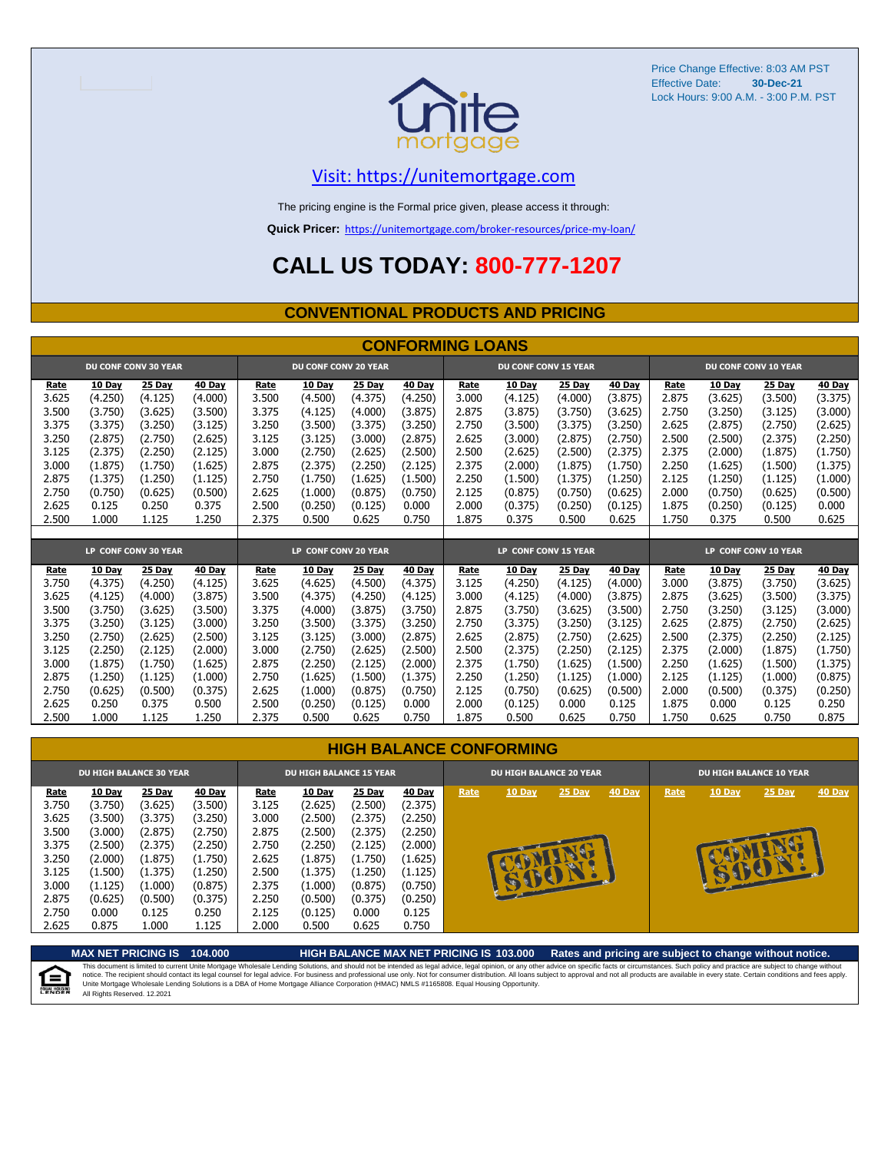

### [V](https://unitemortgage.com/)isit: https://unitemortgage.com

The pricing engine is the Formal price given, please access it through:

**Quick Pricer:** [https://un](https://unitemortgage.com/broker-resources/price-my-loan/)itemortgage.com/broker-resources/price-my-loan/

## **CALL US TODAY: 800-777-1207**

#### **CONVENTIONAL PRODUCTS AND PRICING**

|                | <b>CONFORMING LOANS</b>  |                             |                          |                |                             |                          |                          |                      |                             |                          |                          |                      |                             |                          |                          |  |
|----------------|--------------------------|-----------------------------|--------------------------|----------------|-----------------------------|--------------------------|--------------------------|----------------------|-----------------------------|--------------------------|--------------------------|----------------------|-----------------------------|--------------------------|--------------------------|--|
|                |                          | <b>DU CONF CONV 30 YEAR</b> |                          |                | <b>DU CONF CONV 20 YEAR</b> |                          |                          |                      | <b>DU CONF CONV 15 YEAR</b> |                          |                          |                      | <b>DU CONF CONV 10 YEAR</b> |                          |                          |  |
| Rate<br>3.625  | <b>10 Day</b><br>(4.250) | <b>25 Day</b><br>(4.125)    | <b>40 Day</b><br>(4.000) | Rate<br>3.500  | <b>10 Day</b><br>(4.500)    | <b>25 Day</b><br>(4.375) | <b>40 Day</b><br>(4.250) | Rate<br>3.000        | <b>10 Day</b><br>(4.125)    | <b>25 Day</b><br>(4.000) | <b>40 Day</b><br>(3.875) | Rate<br>2.875        | <b>10 Day</b><br>(3.625)    | <b>25 Day</b><br>(3.500) | <b>40 Day</b><br>(3.375) |  |
| 3.500          | (3.750)                  | (3.625)                     | (3.500)                  | 3.375          | (4.125)                     | (4.000)                  | (3.875)                  | 2.875                | (3.875)                     | (3.750)                  | (3.625)                  | 2.750                | (3.250)                     | (3.125)                  | (3.000)                  |  |
| 3.375          | (3.375)                  | (3.250)                     | (3.125)                  | 3.250          | (3.500)                     | (3.375)                  | (3.250)                  | 2.750                | (3.500)                     | (3.375)                  | (3.250)                  | 2.625                | (2.875)                     | (2.750)                  | (2.625)                  |  |
| 3.250          | (2.875)                  | (2.750)                     | (2.625)                  | 3.125          | (3.125)                     | (3.000)                  | (2.875)                  | 2.625                | (3.000)                     | (2.875)                  | (2.750)                  | 2.500                | (2.500)                     | (2.375)                  | (2.250)                  |  |
| 3.125          | (2.375)                  | (2.250)                     | (2.125)                  | 3.000          | (2.750)                     | (2.625)                  | (2.500)                  | 2.500                | (2.625)                     | (2.500)                  | (2.375)                  | 2.375                | (2.000)                     | (1.875)                  | (1.750)                  |  |
| 3.000          | (1.875)                  | (1.750)                     | (1.625)                  | 2.875          | (2.375)                     | (2.250)                  | (2.125)                  | 2.375                | (2.000)                     | (1.875)                  | (1.750)                  | 2.250                | (1.625)                     | (1.500)                  | (1.375)                  |  |
| 2.875          | (1.375)                  | (1.250)                     | (1.125)                  | 2.750          | (1.750)                     | (1.625)                  | (1.500)                  | 2.250                | (1.500)                     | (1.375)                  | (1.250)                  | 2.125                | (1.250)                     | (1.125)                  | (1.000)                  |  |
| 2.750          | (0.750)                  | (0.625)                     | (0.500)                  | 2.625          | (1.000)                     | (0.875)                  | (0.750)                  | 2.125                | (0.875)                     | (0.750)                  | (0.625)                  | 2.000                | (0.750)                     | (0.625)                  | (0.500)                  |  |
| 2.625          | 0.125                    | 0.250                       | 0.375                    | 2.500          | (0.250)                     | (0.125)                  | 0.000                    | 2.000                | (0.375)                     | (0.250)                  | (0.125)                  | 1.875                | (0.250)                     | (0.125)                  | 0.000                    |  |
| 2.500          | 1.000                    | 1.125                       | 1.250                    | 2.375          | 0.500                       | 0.625                    | 0.750                    | 1.875                | 0.375                       | 0.500                    | 0.625                    | 1.750                | 0.375                       | 0.500                    | 0.625                    |  |
|                |                          |                             |                          |                |                             |                          |                          |                      |                             |                          |                          |                      |                             |                          |                          |  |
|                |                          | LP CONF CONV 30 YEAR        |                          |                | LP CONF CONV 20 YEAR        |                          |                          | LP CONF CONV 15 YEAR |                             |                          |                          | LP CONF CONV 10 YEAR |                             |                          |                          |  |
| Rate           | 10 Dav                   | 25 Day                      | 40 Dav                   | Rate           | 10 Day                      | 25 Day                   | 40 Day                   | Rate                 | 10 Dav                      | 25 Day                   | <b>40 Day</b>            | Rate                 | 10 Day                      | 25 Day                   | 40 Day                   |  |
| 3.750          | (4.375)                  | (4.250)                     | (4.125)                  | 3.625          | (4.625)                     | (4.500)                  | (4.375)                  | 3.125                | (4.250)                     | (4.125)                  | (4.000)                  | 3.000                | (3.875)                     | (3.750)                  | (3.625)                  |  |
| 3.625          | (4.125)                  | (4.000)                     | (3.875)                  | 3.500          | (4.375)                     | (4.250)                  | (4.125)                  | 3.000                | (4.125)                     | (4.000)                  | (3.875)                  | 2.875                | (3.625)                     | (3.500)                  | (3.375)                  |  |
| 3.500          | (3.750)                  | (3.625)                     | (3.500)                  | 3.375          | (4.000)                     | (3.875)                  | (3.750)                  | 2.875                | (3.750)                     | (3.625)                  | (3.500)                  | 2.750                | (3.250)                     | (3.125)                  | (3.000)                  |  |
| 3.375          | (3.250)                  | (3.125)                     | (3.000)                  | 3.250          | (3.500)                     | (3.375)                  | (3.250)                  | 2.750                | (3.375)                     | (3.250)                  | (3.125)                  | 2.625                | (2.875)                     | (2.750)                  | (2.625)                  |  |
| 3.250          | (2.750)                  | (2.625)                     | (2.500)                  | 3.125          | (3.125)                     | (3,000)                  | (2.875)                  | 2.625                | (2.875)                     | (2.750)                  | (2.625)                  | 2.500                | (2.375)                     | (2.250)                  | (2.125)                  |  |
| 3.125          | (2.250)                  | (2.125)                     | (2.000)                  | 3.000          | (2.750)                     | (2.625)                  | (2.500)                  | 2.500                | (2.375)                     | (2.250)                  | (2.125)                  | 2.375                | (2.000)                     | (1.875)                  | (1.750)                  |  |
| 3.000          | (1.875)                  | (1.750)                     | (1.625)                  | 2.875          | (2.250)                     | (2.125)                  | (2.000)                  | 2.375                | (1.750)                     | (1.625)                  | (1.500)                  | 2.250                | (1.625)                     | (1.500)                  | (1.375)                  |  |
| 2.875<br>2.750 | (1.250)<br>(0.625)       | (1.125)<br>(0.500)          | (1.000)                  | 2.750<br>2.625 | (1.625)<br>(1.000)          | (1.500)<br>(0.875)       | (1.375)<br>(0.750)       | 2.250<br>2.125       | (1.250)<br>(0.750)          | (1.125)<br>(0.625)       | (1.000)<br>(0.500)       | 2.125<br>2.000       | (1.125)<br>(0.500)          | (1.000)<br>(0.375)       | (0.875)                  |  |
| 2.625          | 0.250                    | 0.375                       | (0.375)<br>0.500         | 2.500          | (0.250)                     | (0.125)                  | 0.000                    | 2.000                | (0.125)                     | 0.000                    | 0.125                    | 1.875                | 0.000                       | 0.125                    | (0.250)<br>0.250         |  |
| 2.500          | 1.000                    | 1.125                       | 1.250                    | 2.375          | 0.500                       | 0.625                    | 0.750                    | 1.875                | 0.500                       | 0.625                    | 0.750                    | 1.750                | 0.625                       | 0.750                    | 0.875                    |  |

|  | <b>HIGH BALANCE CONFORMING</b> |
|--|--------------------------------|
|  |                                |

|                                                                              | <b>DU HIGH BALANCE 30 YEAR</b>                                                                        |                                                                                                       |                                                                                                       |                                                                              | <b>DU HIGH BALANCE 15 YEAR</b>                                                                        |                                                                                                       |                                                                                                       |      | <b>DU HIGH BALANCE 20 YEAR</b> |             |               | <b>DU HIGH BALANCE 10 YEAR</b> |               |          |               |  |
|------------------------------------------------------------------------------|-------------------------------------------------------------------------------------------------------|-------------------------------------------------------------------------------------------------------|-------------------------------------------------------------------------------------------------------|------------------------------------------------------------------------------|-------------------------------------------------------------------------------------------------------|-------------------------------------------------------------------------------------------------------|-------------------------------------------------------------------------------------------------------|------|--------------------------------|-------------|---------------|--------------------------------|---------------|----------|---------------|--|
| Rate<br>3.750<br>3.625<br>3.500<br>3.375<br>3.250<br>3.125<br>3.000<br>2.875 | <b>10 Day</b><br>(3.750)<br>(3.500)<br>(3.000)<br>(2.500)<br>(2.000)<br>(1.500)<br>(1.125)<br>(0.625) | <b>25 Day</b><br>(3.625)<br>(3.375)<br>(2.875)<br>(2.375)<br>(1.875)<br>(1.375)<br>(1.000)<br>(0.500) | <b>40 Day</b><br>(3.500)<br>(3.250)<br>(2.750)<br>(2.250)<br>(1.750)<br>(1.250)<br>(0.875)<br>(0.375) | Rate<br>3.125<br>3.000<br>2.875<br>2.750<br>2.625<br>2.500<br>2.375<br>2.250 | <b>10 Day</b><br>(2.625)<br>(2.500)<br>(2.500)<br>(2.250)<br>(1.875)<br>(1.375)<br>(1.000)<br>(0.500) | <b>25 Day</b><br>(2.500)<br>(2.375)<br>(2.375)<br>(2.125)<br>(1.750)<br>(1.250)<br>(0.875)<br>(0.375) | <b>40 Day</b><br>(2.375)<br>(2.250)<br>(2.250)<br>(2.000)<br>(1.625)<br>(1.125)<br>(0.750)<br>(0.250) | Rate | <b>10 Day</b><br>BU            | 25 Day<br>A | <b>40 Day</b> | Rate                           | <b>10 Day</b> | $25$ Day | <b>40 Day</b> |  |
| 2.750<br>2.625                                                               | 0.000<br>0.875                                                                                        | 0.125<br>1.000                                                                                        | 0.250<br>1.125                                                                                        | 2.125<br>2.000                                                               | (0.125)<br>0.500                                                                                      | 0.000<br>0.625                                                                                        | 0.125<br>0.750                                                                                        |      |                                |             |               |                                |               |          |               |  |

**MAX NET PRICING IS 104.000 HIGH BALANCE MAX NET PRICING IS 103.000 Rates and pricing are subject to change without notice.** This document is limited to current Unite Mortgage Wholesale Lending Solutions, and should not be intended as legal advice, legal opinion, or any other advice on specific facts or circumstances. Such policy and practice ar 自 All Rights Reserved. 12.2021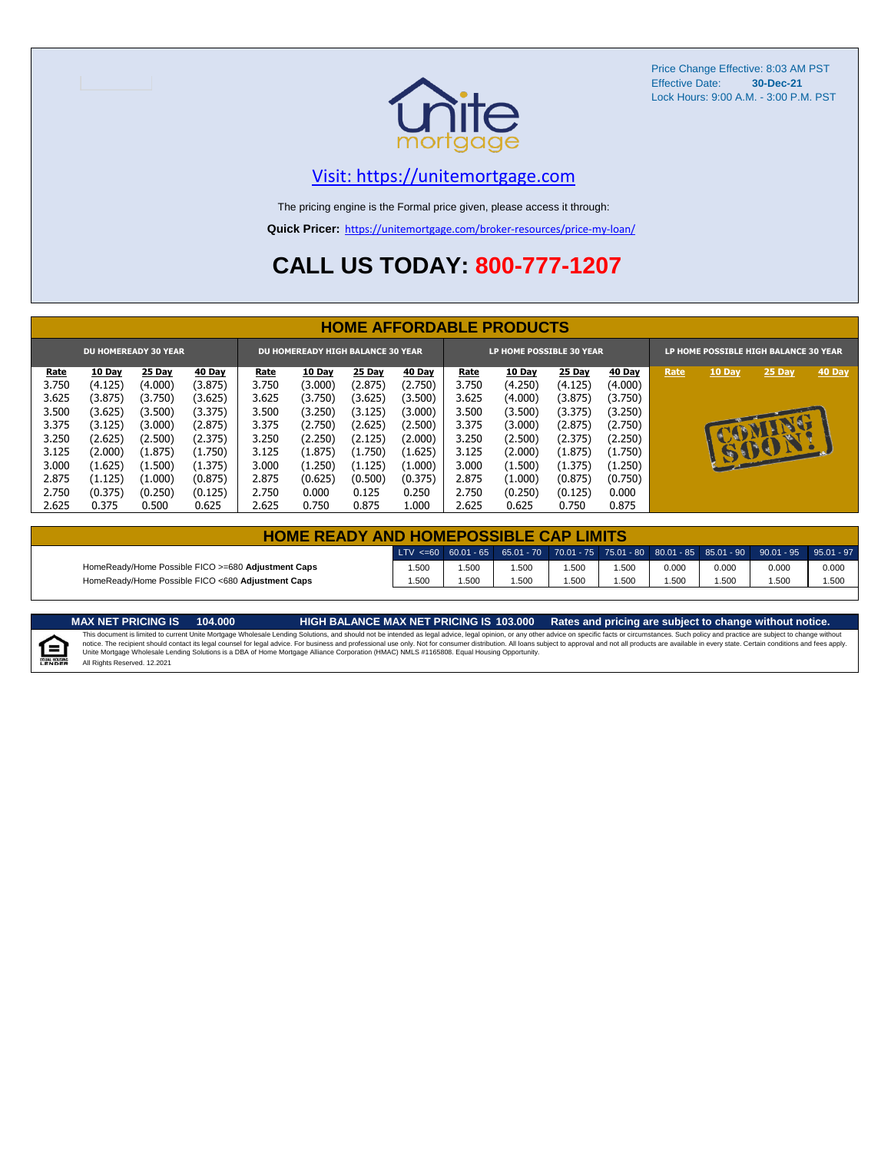

### [V](https://unitemortgage.com/)isit: https://unitemortgage.com

The pricing engine is the Formal price given, please access it through:

**Quick Pricer:** [https://un](https://unitemortgage.com/broker-resources/price-my-loan/)itemortgage.com/broker-resources/price-my-loan/

## **CALL US TODAY: 800-777-1207**

|                             | <b>HOME AFFORDABLE PRODUCTS</b> |         |               |                                          |               |               |               |                          |               |               |               |                                       |              |        |        |
|-----------------------------|---------------------------------|---------|---------------|------------------------------------------|---------------|---------------|---------------|--------------------------|---------------|---------------|---------------|---------------------------------------|--------------|--------|--------|
| <b>DU HOMEREADY 30 YEAR</b> |                                 |         |               | <b>DU HOMEREADY HIGH BALANCE 30 YEAR</b> |               |               |               | LP HOME POSSIBLE 30 YEAR |               |               |               | LP HOME POSSIBLE HIGH BALANCE 30 YEAR |              |        |        |
| <u>Rate</u>                 | <b>10 Day</b>                   | 25 Day  | <b>40 Day</b> | Rate                                     | <b>10 Day</b> | <b>25 Day</b> | <b>40 Day</b> | <u>Rate</u>              | <b>10 Day</b> | <b>25 Day</b> | <b>40 Day</b> | Rate                                  | 10 Day       | 25 Day | 40 Day |
| 3.750                       | (4.125)                         | (4.000) | (3.875)       | 3.750                                    | (3.000)       | (2.875)       | (2.750)       | 3.750                    | (4.250)       | (4.125)       | (4.000)       |                                       |              |        |        |
| 3.625                       | (3.875)                         | (3.750) | (3.625)       | 3.625                                    | (3.750)       | (3.625)       | (3.500)       | 3.625                    | (4.000)       | (3.875)       | (3.750)       |                                       |              |        |        |
| 3.500                       | (3.625)                         | (3.500) | (3.375)       | 3.500                                    | (3.250)       | (3.125)       | (3.000)       | 3.500                    | (3.500)       | (3.375)       | (3.250)       |                                       |              |        |        |
| 3.375                       | (3.125)                         | (3.000) | (2.875)       | 3.375                                    | (2.750)       | (2.625)       | (2.500)       | 3.375                    | (3.000)       | (2.875)       | (2.750)       |                                       |              |        |        |
| 3.250                       | (2.625)                         | (2.500) | (2.375)       | 3.250                                    | (2.250)       | (2.125)       | (2.000)       | 3.250                    | (2.500)       | (2.375)       | (2.250)       |                                       |              | ш      |        |
| 3.125                       | (2.000)                         | (1.875) | (1.750)       | 3.125                                    | (1.875)       | (1.750)       | (1.625)       | 3.125                    | (2.000)       | (1.875)       | (1.750)       |                                       | $\mathbf{r}$ | BOY    |        |
| 3.000                       | (1.625)                         | (1.500) | (1.375)       | 3.000                                    | (1.250)       | (1.125)       | (1.000)       | 3.000                    | (1.500)       | (1.375)       | (1.250)       |                                       |              |        |        |
| 2.875                       | (1.125)                         | (1.000) | (0.875)       | 2.875                                    | (0.625)       | (0.500)       | (0.375)       | 2.875                    | (1.000)       | (0.875)       | (0.750)       |                                       |              |        |        |
| 2.750                       | (0.375)                         | (0.250) | (0.125)       | 2.750                                    | 0.000         | 0.125         | 0.250         | 2.750                    | (0.250)       | (0.125)       | 0.000         |                                       |              |        |        |
| 2.625                       | 0.375                           | 0.500   | 0.625         | 2.625                                    | 0.750         | 0.875         | 1.000         | 2.625                    | 0.625         | 0.750         | 0.875         |                                       |              |        |        |

| <b>HOME READY AND HOMEPOSSIBLE CAP LIMITS</b>      |       |       |      |       |      |       |       |                                                                                                  |       |  |  |  |
|----------------------------------------------------|-------|-------|------|-------|------|-------|-------|--------------------------------------------------------------------------------------------------|-------|--|--|--|
|                                                    |       |       |      |       |      |       |       | LTV <=60 60.01 - 65 65.01 - 70 70.01 - 75 75.01 - 80 80.01 - 85 85.01 - 90 90.01 - 95 95.01 - 97 |       |  |  |  |
| HomeReady/Home Possible FICO >=680 Adjustment Caps | i.500 | 1.500 | .500 | 1.500 | .500 | 0.000 | 0.000 | 0.000                                                                                            | 0.000 |  |  |  |
| HomeReady/Home Possible FICO <680 Adiustment Caps  | .500  | 1.500 | .500 | 1.500 | .500 | 1.500 | 1.500 | 1.500                                                                                            | 1.500 |  |  |  |

MAX NET PRICING IS 103.000 Rates and pricing are subject to change without notice.<br>This document is limited to current Unite Mortgage Wholesale Lending Solutions, and should not be intended as legal advice, legal opinion,

E All Rights Reserved. 12.2021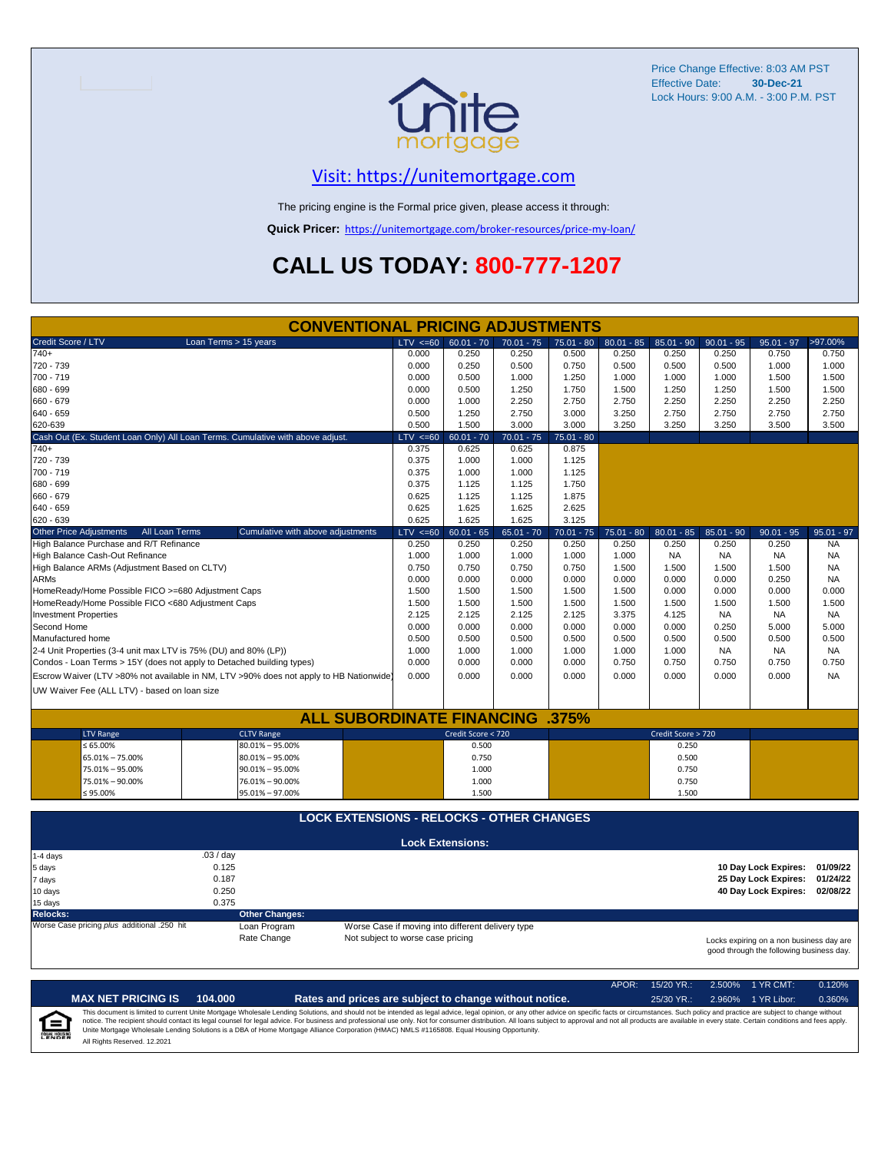

## [V](https://unitemortgage.com/)isit: https://unitemortgage.com

The pricing engine is the Formal price given, please access it through:

**Quick Pricer:** [https://un](https://unitemortgage.com/broker-resources/price-my-loan/)itemortgage.com/broker-resources/price-my-loan/

## **CALL US TODAY: 800-777-1207**

|                                                                       | <b>CONVENTIONAL PRICING ADJUSTMENTS</b>                                                |                                                                                      |                         |              |              |              |                    |              |                      |              |
|-----------------------------------------------------------------------|----------------------------------------------------------------------------------------|--------------------------------------------------------------------------------------|-------------------------|--------------|--------------|--------------|--------------------|--------------|----------------------|--------------|
| Credit Score / LTV                                                    | Loan Terms > 15 years                                                                  | $LTV \le 60$                                                                         | $60.01 - 70$            | $70.01 - 75$ | $75.01 - 80$ | $80.01 - 85$ | $85.01 - 90$       | $90.01 - 95$ | $95.01 - 97$         | >97.00%      |
| $740+$                                                                |                                                                                        | 0.000                                                                                | 0.250                   | 0.250        | 0.500        | 0.250        | 0.250              | 0.250        | 0.750                | 0.750        |
| 720 - 739                                                             |                                                                                        | 0.000                                                                                | 0.250                   | 0.500        | 0.750        | 0.500        | 0.500              | 0.500        | 1.000                | 1.000        |
| 700 - 719                                                             |                                                                                        | 0.000                                                                                | 0.500                   | 1.000        | 1.250        | 1.000        | 1.000              | 1.000        | 1.500                | 1.500        |
| 680 - 699                                                             |                                                                                        | 0.000                                                                                | 0.500                   | 1.250        | 1.750        | 1.500        | 1.250              | 1.250        | 1.500                | 1.500        |
| 660 - 679                                                             |                                                                                        | 0.000                                                                                | 1.000                   | 2.250        | 2.750        | 2.750        | 2.250              | 2.250        | 2.250                | 2.250        |
| $640 - 659$                                                           |                                                                                        | 0.500                                                                                | 1.250                   | 2.750        | 3.000        | 3.250        | 2.750              | 2.750        | 2.750                | 2.750        |
| 620-639                                                               |                                                                                        | 0.500                                                                                | 1.500                   | 3.000        | 3.000        | 3.250        | 3.250              | 3.250        | 3.500                | 3.500        |
|                                                                       | Cash Out (Ex. Student Loan Only) All Loan Terms. Cumulative with above adjust.         | $LTV \le 60$                                                                         | $60.01 - 70$            | $70.01 - 75$ | $75.01 - 80$ |              |                    |              |                      |              |
| $740+$                                                                |                                                                                        | 0.375                                                                                | 0.625                   | 0.625        | 0.875        |              |                    |              |                      |              |
| 720 - 739                                                             |                                                                                        | 0.375                                                                                | 1.000                   | 1.000        | 1.125        |              |                    |              |                      |              |
| 700 - 719                                                             |                                                                                        | 0.375                                                                                | 1.000                   | 1.000        | 1.125        |              |                    |              |                      |              |
| 680 - 699                                                             |                                                                                        | 0.375                                                                                | 1.125                   | 1.125        | 1.750        |              |                    |              |                      |              |
| 660 - 679                                                             |                                                                                        | 0.625                                                                                | 1.125                   | 1.125        | 1.875        |              |                    |              |                      |              |
| 640 - 659                                                             |                                                                                        | 0.625                                                                                | 1.625                   | 1.625        | 2.625        |              |                    |              |                      |              |
| 620 - 639                                                             |                                                                                        | 0.625                                                                                | 1.625                   | 1.625        | 3.125        |              |                    |              |                      |              |
| <b>Other Price Adjustments</b><br>All Loan Terms                      | Cumulative with above adjustments                                                      | $LTV \le 60$                                                                         | $60.01 - 65$            | $65.01 - 70$ | $70.01 - 75$ | $75.01 - 80$ | $80.01 - 85$       | $85.01 - 90$ | $90.01 - 95$         | $95.01 - 97$ |
| High Balance Purchase and R/T Refinance                               |                                                                                        | 0.250                                                                                | 0.250                   | 0.250        | 0.250        | 0.250        | 0.250              | 0.250        | 0.250                | <b>NA</b>    |
| High Balance Cash-Out Refinance                                       |                                                                                        | 1.000                                                                                | 1.000                   | 1.000        | 1.000        | 1.000        | <b>NA</b>          | <b>NA</b>    | <b>NA</b>            | <b>NA</b>    |
| High Balance ARMs (Adjustment Based on CLTV)                          |                                                                                        | 0.750                                                                                | 0.750                   | 0.750        | 0.750        | 1.500        | 1.500              | 1.500        | 1.500                | <b>NA</b>    |
| <b>ARMs</b>                                                           |                                                                                        | 0.000                                                                                | 0.000                   | 0.000        | 0.000        | 0.000        | 0.000              | 0.000        | 0.250                | <b>NA</b>    |
| HomeReady/Home Possible FICO >=680 Adjustment Caps                    |                                                                                        | 1.500                                                                                | 1.500                   | 1.500        | 1.500        | 1.500        | 0.000              | 0.000        | 0.000                | 0.000        |
| HomeReady/Home Possible FICO <680 Adjustment Caps                     |                                                                                        | 1.500                                                                                | 1.500                   | 1.500        | 1.500        | 1.500        | 1.500              | 1.500        | 1.500                | 1.500        |
| <b>Investment Properties</b>                                          |                                                                                        | 2.125                                                                                | 2.125                   | 2.125        | 2.125        | 3.375        | 4.125              | <b>NA</b>    | <b>NA</b>            | NA.          |
| Second Home                                                           |                                                                                        | 0.000                                                                                | 0.000                   | 0.000        | 0.000        | 0.000        | 0.000              | 0.250        | 5.000                | 5.000        |
| Manufactured home                                                     |                                                                                        | 0.500                                                                                | 0.500                   | 0.500        | 0.500        | 0.500        | 0.500              | 0.500        | 0.500                | 0.500        |
| 2-4 Unit Properties (3-4 unit max LTV is 75% (DU) and 80% (LP))       |                                                                                        | 1.000                                                                                | 1.000                   | 1.000        | 1.000        | 1.000        | 1.000              | <b>NA</b>    | <b>NA</b>            | NA.          |
| Condos - Loan Terms > 15Y (does not apply to Detached building types) |                                                                                        | 0.000                                                                                | 0.000                   | 0.000        | 0.000        | 0.750        | 0.750              | 0.750        | 0.750                | 0.750        |
|                                                                       | Escrow Waiver (LTV >80% not available in NM, LTV >90% does not apply to HB Nationwide) | 0.000                                                                                | 0.000                   | 0.000        | 0.000        | 0.000        | 0.000              | 0.000        | 0.000                | <b>NA</b>    |
| UW Waiver Fee (ALL LTV) - based on loan size                          |                                                                                        |                                                                                      |                         |              |              |              |                    |              |                      |              |
|                                                                       |                                                                                        |                                                                                      |                         |              |              |              |                    |              |                      |              |
|                                                                       | <b>ALL SUBORDINATE FINANCING .375%</b>                                                 |                                                                                      |                         |              |              |              |                    |              |                      |              |
| <b>LTV Range</b>                                                      | <b>CLTV Range</b>                                                                      |                                                                                      | Credit Score < 720      |              |              |              | Credit Score > 720 |              |                      |              |
| $\leq 65.00\%$                                                        | 80.01% - 95.00%                                                                        |                                                                                      | 0.500                   |              |              |              | 0.250              |              |                      |              |
| 65.01% - 75.00%                                                       | $80.01\% - 95.00\%$                                                                    |                                                                                      | 0.750                   |              |              |              | 0.500              |              |                      |              |
| 75.01% - 95.00%                                                       | $90.01\% - 95.00\%$                                                                    |                                                                                      | 1.000                   |              |              |              | 0.750              |              |                      |              |
| 75.01% - 90.00%                                                       | 76.01% - 90.00%                                                                        |                                                                                      | 1.000                   |              |              |              | 0.750              |              |                      |              |
| $≤ 95.00\%$                                                           | 95.01% - 97.00%                                                                        |                                                                                      | 1.500                   |              |              |              | 1.500              |              |                      |              |
|                                                                       | <b>LOCK EXTENSIONS - RELOCKS - OTHER CHANGES</b>                                       |                                                                                      |                         |              |              |              |                    |              |                      |              |
|                                                                       |                                                                                        |                                                                                      |                         |              |              |              |                    |              |                      |              |
|                                                                       |                                                                                        |                                                                                      | <b>Lock Extensions:</b> |              |              |              |                    |              |                      |              |
| 1-4 days                                                              | .03/day<br>0.125                                                                       |                                                                                      |                         |              |              |              |                    |              | 10 Day Lock Expires: | 01/09/22     |
| 5 days                                                                | 0.187                                                                                  |                                                                                      |                         |              |              |              |                    |              | 25 Day Lock Expires: | 01/24/22     |
| 7 days<br>10 days                                                     | 0.250                                                                                  |                                                                                      |                         |              |              |              |                    |              | 40 Day Lock Expires: | 02/08/22     |
|                                                                       | 0.375                                                                                  |                                                                                      |                         |              |              |              |                    |              |                      |              |
| 15 days<br><b>Relocks:</b>                                            | <b>Other Changes:</b>                                                                  |                                                                                      |                         |              |              |              |                    |              |                      |              |
| Worse Case pricing plus additional .250 hit                           | Loan Program                                                                           | Worse Case if moving into different delivery type                                    |                         |              |              |              |                    |              |                      |              |
|                                                                       | Rate Change                                                                            | Not subject to worse case pricing                                                    |                         |              |              |              |                    |              |                      |              |
|                                                                       |                                                                                        | Locks expiring on a non business day are<br>good through the following business day. |                         |              |              |              |                    |              |                      |              |

APOR: 15/20 YR.: 2.500% 1 YR CMT: 0.120% **MAX NET PRICING IS 104.000 Rates and prices are subject to change without notice.** 25/30 YR.: 2.960% 1 YR Libor: 0.360% This document is limited to current Unite Mortgage Wholesale Lending Solutions, and should not be intended as legal advice, legal opinion, or any other advice on specific facts or circumstances. Such policy and practice ar  $=$ **EQUAL HOUSING** All Rights Reserved. 12.2021